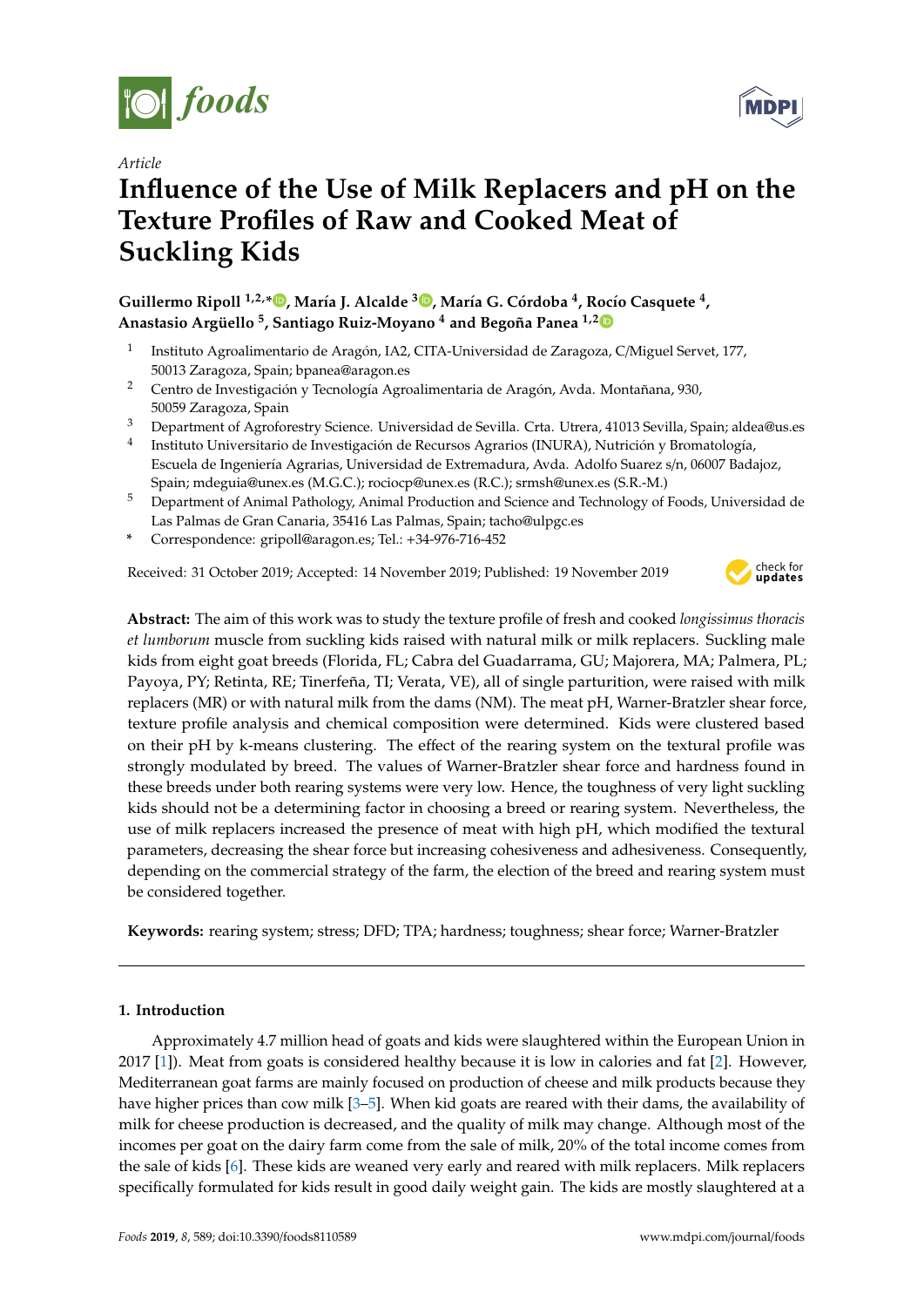

# *Article*

# **Influence of the Use of Milk Replacers and pH on the Texture Profiles of Raw and Cooked Meat of Suckling Kids**

Guillermo Ripoll <sup>1[,](https://orcid.org/0000-0003-1944-4499)2,</sup>\*D, María J. Alcalde <sup>3</sup>D, María G. Córdoba <sup>4</sup>, Rocío Casquete <sup>4</sup>, **Anastasio Argüello <sup>5</sup> , Santiago Ruiz-Moyano <sup>4</sup> and Begoña Panea 1,[2](https://orcid.org/0000-0002-0572-9509)**

- 1 Instituto Agroalimentario de Aragón, IA2, CITA-Universidad de Zaragoza, C/Miguel Servet, 177, 50013 Zaragoza, Spain; bpanea@aragon.es
- <sup>2</sup> Centro de Investigación y Tecnología Agroalimentaria de Aragón, Avda. Montañana, 930, 50059 Zaragoza, Spain
- <sup>3</sup> Department of Agroforestry Science. Universidad de Sevilla. Crta. Utrera, 41013 Sevilla, Spain; aldea@us.es
- 4 Instituto Universitario de Investigación de Recursos Agrarios (INURA), Nutrición y Bromatología, Escuela de Ingeniería Agrarias, Universidad de Extremadura, Avda. Adolfo Suarez s/n, 06007 Badajoz, Spain; mdeguia@unex.es (M.G.C.); rociocp@unex.es (R.C.); srmsh@unex.es (S.R.-M.)
- <sup>5</sup> Department of Animal Pathology, Animal Production and Science and Technology of Foods, Universidad de Las Palmas de Gran Canaria, 35416 Las Palmas, Spain; tacho@ulpgc.es
- **\*** Correspondence: gripoll@aragon.es; Tel.: +34-976-716-452

Received: 31 October 2019; Accepted: 14 November 2019; Published: 19 November 2019



**Abstract:** The aim of this work was to study the texture profile of fresh and cooked *longissimus thoracis et lumborum* muscle from suckling kids raised with natural milk or milk replacers. Suckling male kids from eight goat breeds (Florida, FL; Cabra del Guadarrama, GU; Majorera, MA; Palmera, PL; Payoya, PY; Retinta, RE; Tinerfeña, TI; Verata, VE), all of single parturition, were raised with milk replacers (MR) or with natural milk from the dams (NM). The meat pH, Warner-Bratzler shear force, texture profile analysis and chemical composition were determined. Kids were clustered based on their pH by k-means clustering. The effect of the rearing system on the textural profile was strongly modulated by breed. The values of Warner-Bratzler shear force and hardness found in these breeds under both rearing systems were very low. Hence, the toughness of very light suckling kids should not be a determining factor in choosing a breed or rearing system. Nevertheless, the use of milk replacers increased the presence of meat with high pH, which modified the textural parameters, decreasing the shear force but increasing cohesiveness and adhesiveness. Consequently, depending on the commercial strategy of the farm, the election of the breed and rearing system must be considered together.

**Keywords:** rearing system; stress; DFD; TPA; hardness; toughness; shear force; Warner-Bratzler

## **1. Introduction**

Approximately 4.7 million head of goats and kids were slaughtered within the European Union in 2017 [\[1\]](#page-11-0)). Meat from goats is considered healthy because it is low in calories and fat [\[2\]](#page-11-1). However, Mediterranean goat farms are mainly focused on production of cheese and milk products because they have higher prices than cow milk [\[3](#page-11-2)[–5\]](#page-11-3). When kid goats are reared with their dams, the availability of milk for cheese production is decreased, and the quality of milk may change. Although most of the incomes per goat on the dairy farm come from the sale of milk, 20% of the total income comes from the sale of kids [\[6\]](#page-11-4). These kids are weaned very early and reared with milk replacers. Milk replacers specifically formulated for kids result in good daily weight gain. The kids are mostly slaughtered at a

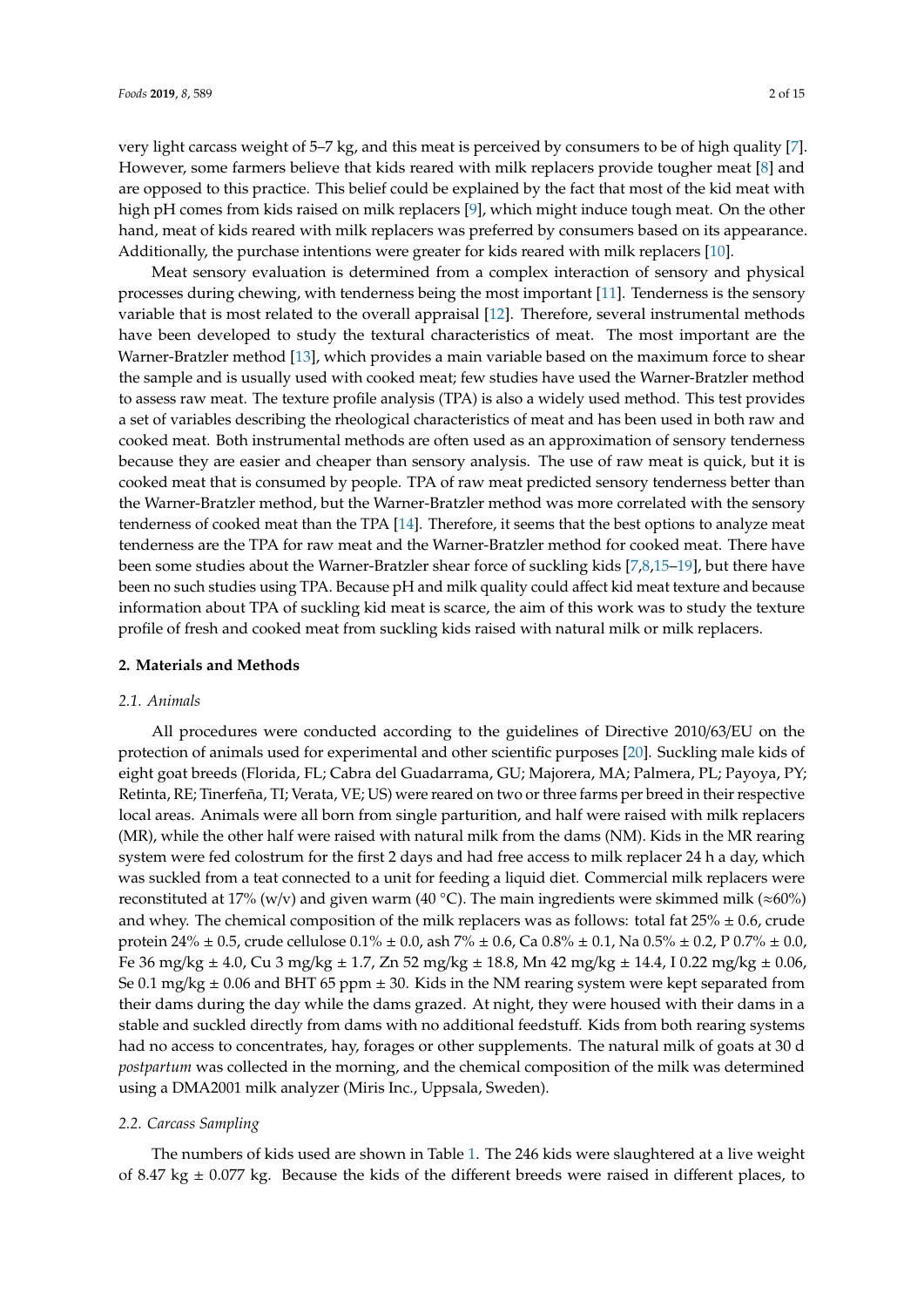very light carcass weight of 5–7 kg, and this meat is perceived by consumers to be of high quality [\[7\]](#page-11-5). However, some farmers believe that kids reared with milk replacers provide tougher meat [\[8\]](#page-11-6) and are opposed to this practice. This belief could be explained by the fact that most of the kid meat with high pH comes from kids raised on milk replacers [\[9\]](#page-11-7), which might induce tough meat. On the other hand, meat of kids reared with milk replacers was preferred by consumers based on its appearance. Additionally, the purchase intentions were greater for kids reared with milk replacers [\[10\]](#page-11-8).

Meat sensory evaluation is determined from a complex interaction of sensory and physical processes during chewing, with tenderness being the most important [\[11\]](#page-11-9). Tenderness is the sensory variable that is most related to the overall appraisal [\[12\]](#page-11-10). Therefore, several instrumental methods have been developed to study the textural characteristics of meat. The most important are the Warner-Bratzler method [\[13\]](#page-11-11), which provides a main variable based on the maximum force to shear the sample and is usually used with cooked meat; few studies have used the Warner-Bratzler method to assess raw meat. The texture profile analysis (TPA) is also a widely used method. This test provides a set of variables describing the rheological characteristics of meat and has been used in both raw and cooked meat. Both instrumental methods are often used as an approximation of sensory tenderness because they are easier and cheaper than sensory analysis. The use of raw meat is quick, but it is cooked meat that is consumed by people. TPA of raw meat predicted sensory tenderness better than the Warner-Bratzler method, but the Warner-Bratzler method was more correlated with the sensory tenderness of cooked meat than the TPA [\[14\]](#page-11-12). Therefore, it seems that the best options to analyze meat tenderness are the TPA for raw meat and the Warner-Bratzler method for cooked meat. There have been some studies about the Warner-Bratzler shear force of suckling kids [\[7](#page-11-5)[,8](#page-11-6)[,15](#page-11-13)[–19\]](#page-11-14), but there have been no such studies using TPA. Because pH and milk quality could affect kid meat texture and because information about TPA of suckling kid meat is scarce, the aim of this work was to study the texture profile of fresh and cooked meat from suckling kids raised with natural milk or milk replacers.

#### **2. Materials and Methods**

#### *2.1. Animals*

All procedures were conducted according to the guidelines of Directive 2010/63/EU on the protection of animals used for experimental and other scientific purposes [\[20\]](#page-11-15). Suckling male kids of eight goat breeds (Florida, FL; Cabra del Guadarrama, GU; Majorera, MA; Palmera, PL; Payoya, PY; Retinta, RE; Tinerfeña, TI; Verata, VE; US) were reared on two or three farms per breed in their respective local areas. Animals were all born from single parturition, and half were raised with milk replacers (MR), while the other half were raised with natural milk from the dams (NM). Kids in the MR rearing system were fed colostrum for the first 2 days and had free access to milk replacer 24 h a day, which was suckled from a teat connected to a unit for feeding a liquid diet. Commercial milk replacers were reconstituted at 17% (w/v) and given warm (40 °C). The main ingredients were skimmed milk ( $\approx$ 60%) and whey. The chemical composition of the milk replacers was as follows: total fat  $25\% \pm 0.6$ , crude protein 24% ± 0.5, crude cellulose 0.1% ± 0.0, ash 7% ± 0.6, Ca 0.8% ± 0.1, Na 0.5% ± 0.2, P 0.7% ± 0.0, Fe 36 mg/kg  $\pm$  4.0, Cu 3 mg/kg  $\pm$  1.7, Zn 52 mg/kg  $\pm$  18.8, Mn 42 mg/kg  $\pm$  14.4, I 0.22 mg/kg  $\pm$  0.06, Se 0.1 mg/kg  $\pm$  0.06 and BHT 65 ppm  $\pm$  30. Kids in the NM rearing system were kept separated from their dams during the day while the dams grazed. At night, they were housed with their dams in a stable and suckled directly from dams with no additional feedstuff. Kids from both rearing systems had no access to concentrates, hay, forages or other supplements. The natural milk of goats at 30 d *postpartum* was collected in the morning, and the chemical composition of the milk was determined using a DMA2001 milk analyzer (Miris Inc., Uppsala, Sweden).

#### *2.2. Carcass Sampling*

The numbers of kids used are shown in Table [1.](#page-2-0) The 246 kids were slaughtered at a live weight of 8.47 kg  $\pm$  0.077 kg. Because the kids of the different breeds were raised in different places, to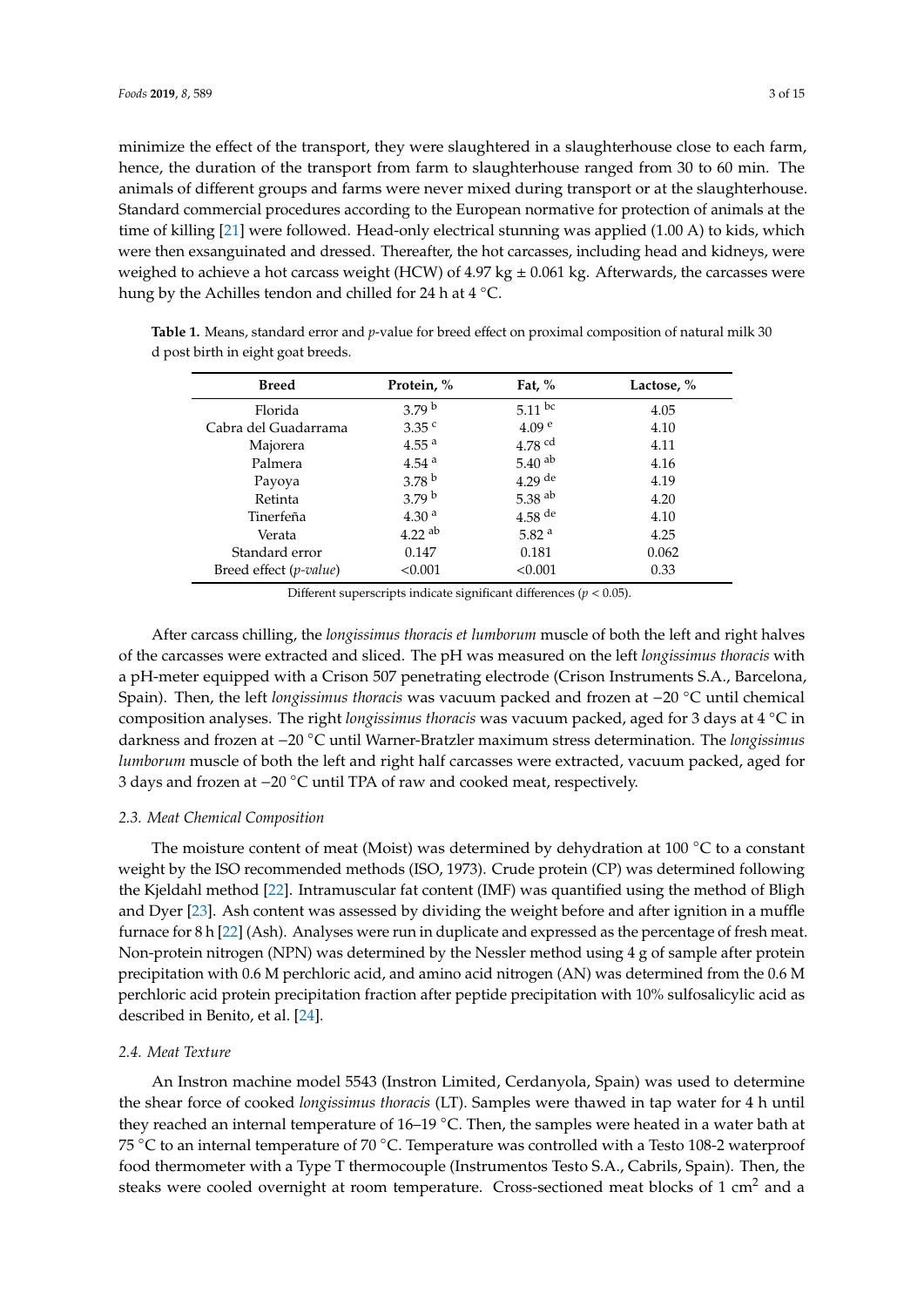minimize the effect of the transport, they were slaughtered in a slaughterhouse close to each farm, hence, the duration of the transport from farm to slaughterhouse ranged from 30 to 60 min. The animals of different groups and farms were never mixed during transport or at the slaughterhouse. Standard commercial procedures according to the European normative for protection of animals at the time of killing [\[21\]](#page-12-0) were followed. Head-only electrical stunning was applied (1.00 A) to kids, which were then exsanguinated and dressed. Thereafter, the hot carcasses, including head and kidneys, were weighed to achieve a hot carcass weight (HCW) of  $4.97$  kg  $\pm$  0.061 kg. Afterwards, the carcasses were hung by the Achilles tendon and chilled for 24 h at 4 ℃.

| <b>Breed</b>           | Protein, %           | Fat, $%$             | Lactose, % |
|------------------------|----------------------|----------------------|------------|
| Florida                | 3.79 <sup>b</sup>    | $5.11$ bc            | 4.05       |
| Cabra del Guadarrama   | 3.35 <sup>c</sup>    | 4.09 <sup>e</sup>    | 4.10       |
| Majorera               | 4.55 <sup>a</sup>    | $4.78$ cd            | 4.11       |
| Palmera                | 4.54 <sup>a</sup>    | 5.40 <sup>ab</sup>   | 4.16       |
| Payoya                 | 3.78 <sup>b</sup>    | $4.29$ de            | 4.19       |
| Retinta                | 3.79 <sup>b</sup>    | 5.38 ab              | 4.20       |
| Tinerfeña              | 4.30 <sup>a</sup>    | $4.58$ <sup>de</sup> | 4.10       |
| Verata                 | $4.22$ <sup>ab</sup> | 5.82 $a$             | 4.25       |
| Standard error         | 0.147                | 0.181                | 0.062      |
| Breed effect (p-value) | < 0.001              | < 0.001              | 0.33       |

<span id="page-2-0"></span>**Table 1.** Means, standard error and *p*-value for breed effect on proximal composition of natural milk 30 d post birth in eight goat breeds.

Different superscripts indicate significant differences (*p* < 0.05).

After carcass chilling, the *longissimus thoracis et lumborum* muscle of both the left and right halves of the carcasses were extracted and sliced. The pH was measured on the left *longissimus thoracis* with a pH-meter equipped with a Crison 507 penetrating electrode (Crison Instruments S.A., Barcelona, Spain). Then, the left *longissimus thoracis* was vacuum packed and frozen at −20 ◦C until chemical composition analyses. The right *longissimus thoracis* was vacuum packed, aged for 3 days at 4 ◦C in darkness and frozen at −20 ◦C until Warner-Bratzler maximum stress determination. The *longissimus lumborum* muscle of both the left and right half carcasses were extracted, vacuum packed, aged for 3 days and frozen at −20 ◦C until TPA of raw and cooked meat, respectively.

#### *2.3. Meat Chemical Composition*

The moisture content of meat (Moist) was determined by dehydration at 100 ◦C to a constant weight by the ISO recommended methods (ISO, 1973). Crude protein (CP) was determined following the Kjeldahl method [\[22\]](#page-12-1). Intramuscular fat content (IMF) was quantified using the method of Bligh and Dyer [\[23\]](#page-12-2). Ash content was assessed by dividing the weight before and after ignition in a muffle furnace for 8 h [\[22\]](#page-12-1) (Ash). Analyses were run in duplicate and expressed as the percentage of fresh meat. Non-protein nitrogen (NPN) was determined by the Nessler method using 4 g of sample after protein precipitation with 0.6 M perchloric acid, and amino acid nitrogen (AN) was determined from the 0.6 M perchloric acid protein precipitation fraction after peptide precipitation with 10% sulfosalicylic acid as described in Benito, et al. [\[24\]](#page-12-3).

#### *2.4. Meat Texture*

An Instron machine model 5543 (Instron Limited, Cerdanyola, Spain) was used to determine the shear force of cooked *longissimus thoracis* (LT). Samples were thawed in tap water for 4 h until they reached an internal temperature of 16–19 ◦C. Then, the samples were heated in a water bath at 75 °C to an internal temperature of 70 °C. Temperature was controlled with a Testo 108-2 waterproof food thermometer with a Type T thermocouple (Instrumentos Testo S.A., Cabrils, Spain). Then, the steaks were cooled overnight at room temperature. Cross-sectioned meat blocks of 1 cm<sup>2</sup> and a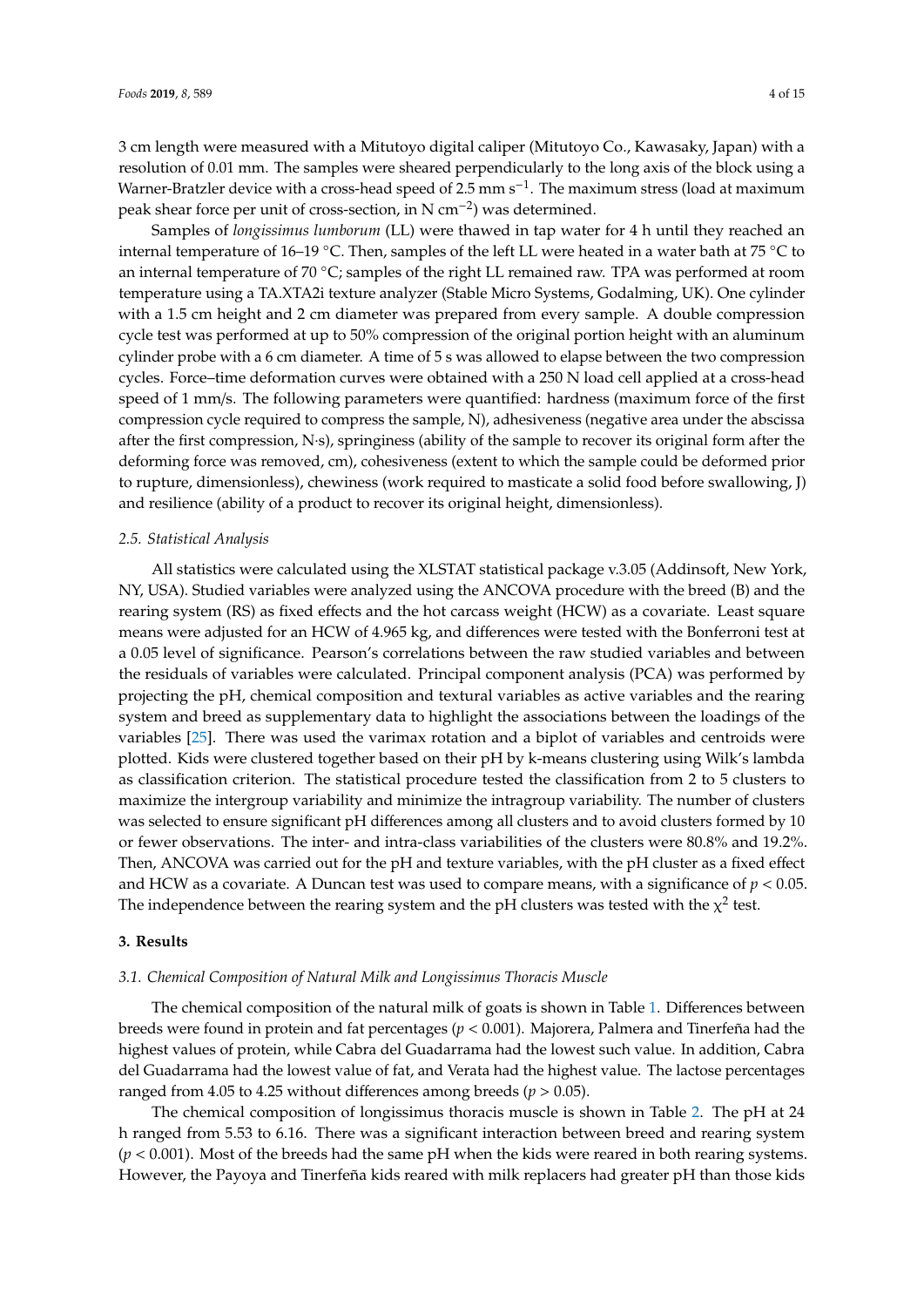3 cm length were measured with a Mitutoyo digital caliper (Mitutoyo Co., Kawasaky, Japan) with a resolution of 0.01 mm. The samples were sheared perpendicularly to the long axis of the block using a Warner-Bratzler device with a cross-head speed of 2.5 mm s<sup>-1</sup>. The maximum stress (load at maximum peak shear force per unit of cross-section, in N cm<sup>-2</sup>) was determined.

Samples of *longissimus lumborum* (LL) were thawed in tap water for 4 h until they reached an internal temperature of 16–19 ◦C. Then, samples of the left LL were heated in a water bath at 75 ◦C to an internal temperature of 70  $^{\circ}$ C; samples of the right LL remained raw. TPA was performed at room temperature using a TA.XTA2i texture analyzer (Stable Micro Systems, Godalming, UK). One cylinder with a 1.5 cm height and 2 cm diameter was prepared from every sample. A double compression cycle test was performed at up to 50% compression of the original portion height with an aluminum cylinder probe with a 6 cm diameter. A time of 5 s was allowed to elapse between the two compression cycles. Force–time deformation curves were obtained with a 250 N load cell applied at a cross-head speed of 1 mm/s. The following parameters were quantified: hardness (maximum force of the first compression cycle required to compress the sample, N), adhesiveness (negative area under the abscissa after the first compression, N·s), springiness (ability of the sample to recover its original form after the deforming force was removed, cm), cohesiveness (extent to which the sample could be deformed prior to rupture, dimensionless), chewiness (work required to masticate a solid food before swallowing, J) and resilience (ability of a product to recover its original height, dimensionless).

#### *2.5. Statistical Analysis*

All statistics were calculated using the XLSTAT statistical package v.3.05 (Addinsoft, New York, NY, USA). Studied variables were analyzed using the ANCOVA procedure with the breed (B) and the rearing system (RS) as fixed effects and the hot carcass weight (HCW) as a covariate. Least square means were adjusted for an HCW of 4.965 kg, and differences were tested with the Bonferroni test at a 0.05 level of significance. Pearson's correlations between the raw studied variables and between the residuals of variables were calculated. Principal component analysis (PCA) was performed by projecting the pH, chemical composition and textural variables as active variables and the rearing system and breed as supplementary data to highlight the associations between the loadings of the variables [\[25\]](#page-12-4). There was used the varimax rotation and a biplot of variables and centroids were plotted. Kids were clustered together based on their pH by k-means clustering using Wilk's lambda as classification criterion. The statistical procedure tested the classification from 2 to 5 clusters to maximize the intergroup variability and minimize the intragroup variability. The number of clusters was selected to ensure significant pH differences among all clusters and to avoid clusters formed by 10 or fewer observations. The inter- and intra-class variabilities of the clusters were 80.8% and 19.2%. Then, ANCOVA was carried out for the pH and texture variables, with the pH cluster as a fixed effect and HCW as a covariate. A Duncan test was used to compare means, with a significance of *p* < 0.05. The independence between the rearing system and the pH clusters was tested with the  $\chi^2$  test.

#### **3. Results**

#### *3.1. Chemical Composition of Natural Milk and Longissimus Thoracis Muscle*

The chemical composition of the natural milk of goats is shown in Table [1.](#page-2-0) Differences between breeds were found in protein and fat percentages (*p* < 0.001). Majorera, Palmera and Tinerfeña had the highest values of protein, while Cabra del Guadarrama had the lowest such value. In addition, Cabra del Guadarrama had the lowest value of fat, and Verata had the highest value. The lactose percentages ranged from 4.05 to 4.25 without differences among breeds ( $p > 0.05$ ).

The chemical composition of longissimus thoracis muscle is shown in Table [2.](#page-4-0) The pH at 24 h ranged from 5.53 to 6.16. There was a significant interaction between breed and rearing system  $(p < 0.001)$ . Most of the breeds had the same pH when the kids were reared in both rearing systems. However, the Payoya and Tinerfeña kids reared with milk replacers had greater pH than those kids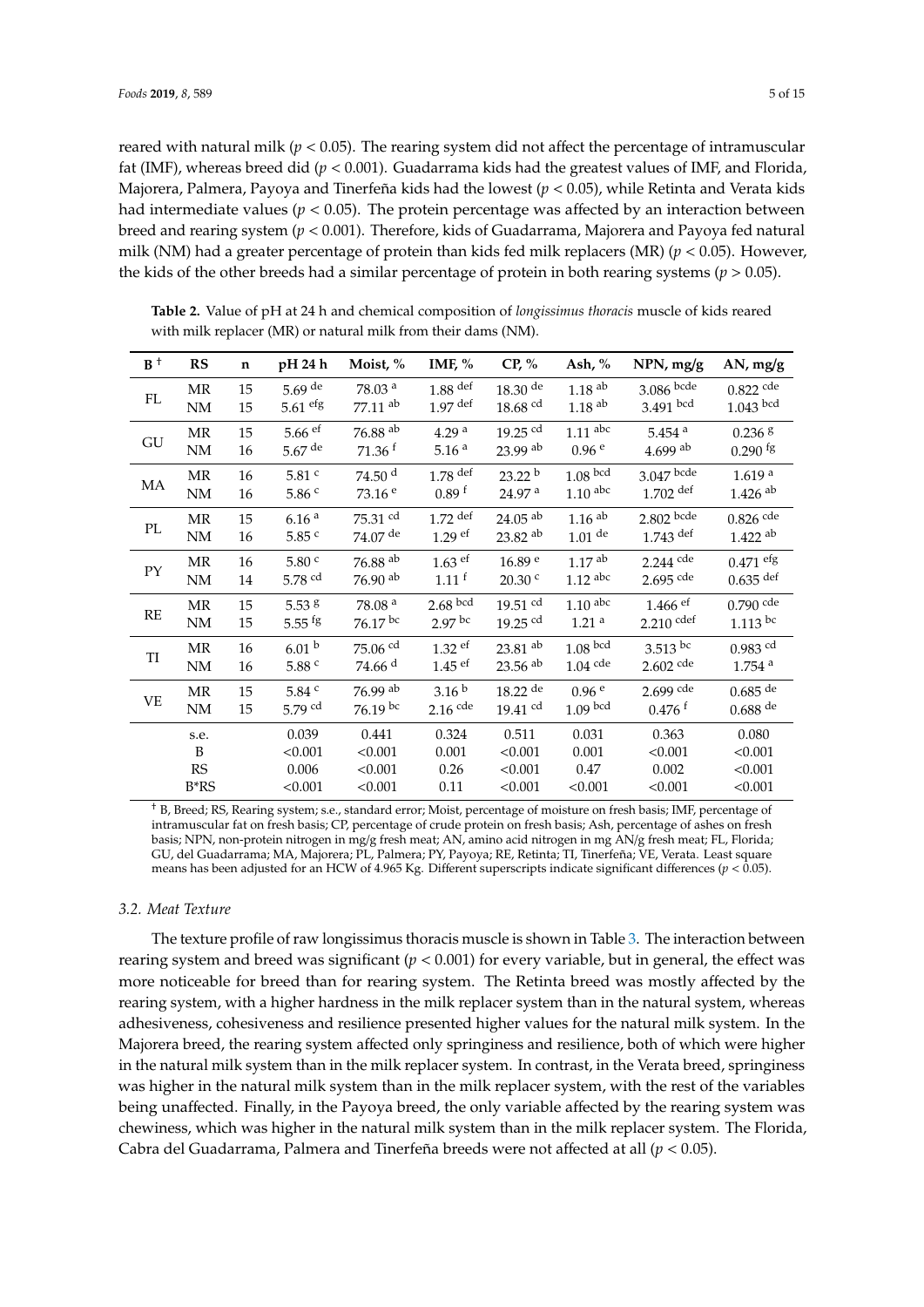| RS        | $\mathbf n$ | pH 24 h              | Moist, $%$            | IMF, $%$              | $CP, \%$              | Ash, $%$              | NPN, mg/g                | AN, mg/g                    |
|-----------|-------------|----------------------|-----------------------|-----------------------|-----------------------|-----------------------|--------------------------|-----------------------------|
| MR        | 15          | $5.69$ <sup>de</sup> | 78.03 <sup>a</sup>    | $1.88$ <sup>def</sup> | $18.30$ de            | 1.18 <sup>ab</sup>    |                          | $0.822$ cde                 |
| NM        | 15          | $5.61$ efg           | 77.11 <sup>ab</sup>   | $1.97$ def            | $18.68$ cd            | 1.18 <sup>ab</sup>    | $3.491$ bcd              | $1.043$ bcd                 |
| MR        | 15          | 5.66 $\rm ^{ef}$     | $76.88$ <sup>ab</sup> | 4.29 <sup>a</sup>     | 19.25 cd              | $1.11$ abc            | 5.454 $a$                | 0.236 <sup>g</sup>          |
| NM        | 16          | 5.67 de              | 71.36 f               | 5.16 <sup>a</sup>     | 23.99 ab              | 0.96 <sup>e</sup>     | $4.699$ <sup>ab</sup>    | $0.290$ fg                  |
| <b>MR</b> | 16          | 5.81 <sup>c</sup>    | 74.50 $d$             | $1.78$ <sup>def</sup> | $23.22^{b}$           | $1.08$ bcd            | 3.047 bcde               | 1.619 <sup>a</sup>          |
| NM        | 16          | $5.86$ $\mathrm{c}$  | 73.16 <sup>e</sup>    | $0.89$ <sup>f</sup>   | 24.97 <sup>a</sup>    |                       |                          | $1.426$ <sup>ab</sup>       |
| <b>MR</b> | 15          | 6.16 <sup>a</sup>    | 75.31 cd              | $1.72$ def            | $24.05$ <sup>ab</sup> | 1.16 <sup>ab</sup>    | $2.802$ bcde             | $0.826$ cde                 |
| NM        | 16          | $5.85$ <sup>c</sup>  | $74.07$ <sup>de</sup> | $1.29$ ef             | 23.82 ab              | $1.01$ <sup>de</sup>  | $1.743$ def              | $1.422$ <sup>ab</sup>       |
| MR        | 16          | 5.80 <sup>c</sup>    | 76.88 ab              | $1.63$ ef             | 16.89 <sup>e</sup>    | 1.17 <sup>ab</sup>    | $2.244$ cde              | $0.471$ efg                 |
| NM        | 14          | $5.78$ <sup>cd</sup> | $76.90$ <sup>ab</sup> | $1.11$ <sup>f</sup>   | $20.30$ $c$           | $1.12$ <sup>abc</sup> | $2.695$ cde              | $0.635$ def                 |
| <b>MR</b> | 15          | 5.53 8               | 78.08 <sup>a</sup>    | $2.68$ bcd            | $19.51$ cd            | $1.10$ abc            | $1.466$ ef               | $0.790$ cde                 |
| NM        | 15          | $5.55$ <sup>fg</sup> | $76.17$ bc            | 2.97 <sup>bc</sup>    | $19.25$ cd            | 1.21 <sup>a</sup>     | $2.210$ cdef             | $1.113$ bc                  |
| MR        | 16          | 6.01 <sup>b</sup>    | $75.06$ cd            | $1.32$ ef             | $23.81$ <sup>ab</sup> | $1.08$ bcd            | $3.513$ bc               | $0.983$ cd                  |
| NM        | 16          | 5.88 <sup>c</sup>    | $74.66$ <sup>d</sup>  | $1.45$ ef             | $23.56$ <sup>ab</sup> | $1.04$ cde            | $2.602$ cde              | $1.754$ <sup>a</sup>        |
| <b>MR</b> | 15          | $5.84$ $\degree$     | $76.99$ <sup>ab</sup> | $3.16^{b}$            | $18.22$ de            | 0.96 <sup>e</sup>     | $2.699$ cde              | $0.685$ <sup>de</sup>       |
| NM        | 15          | $5.79$ cd            | $76.19 \text{ bc}$    | $2.16$ cde            | $19.41$ cd            |                       | $0.476$ <sup>f</sup>     | $0.688$ <sup>de</sup>       |
| s.e.      |             | 0.039                | 0.441                 | 0.324                 | 0.511                 | 0.031                 | 0.363                    | 0.080                       |
| B         |             | < 0.001              | < 0.001               | 0.001                 | < 0.001               | 0.001                 | < 0.001                  | < 0.001                     |
| <b>RS</b> |             | 0.006                | < 0.001               | 0.26                  | < 0.001               | 0.47                  | 0.002                    | < 0.001                     |
| $B*RS$    |             | < 0.001              | < 0.001               | 0.11                  | < 0.001               | < 0.001               | < 0.001                  | < 0.001                     |
|           |             |                      |                       |                       |                       |                       | $1.10$ abc<br>$1.09$ bcd | $3.086$ bcde<br>$1.702$ def |

<span id="page-4-0"></span>**Table 2.** Value of pH at 24 h and chemical composition of *longissimus thoracis* muscle of kids reared with milk replacer (MR) or natural milk from their dams (NM).

breed and rearing system (*p* < 0.001). Therefore, kids of Guadarrama, Majorera and Payoya fed natural milk (NM) had a greater percentage of protein than kids fed milk replacers (MR) (*p* < 0.05). However, the kids of the other breeds had a similar percentage of protein in both rearing systems ( $p > 0.05$ ).

† B, Breed; RS, Rearing system; s.e., standard error; Moist, percentage of moisture on fresh basis; IMF, percentage of intramuscular fat on fresh basis; CP, percentage of crude protein on fresh basis; Ash, percentage of ashes on fresh basis; NPN, non-protein nitrogen in mg/g fresh meat; AN, amino acid nitrogen in mg AN/g fresh meat; FL, Florida; GU, del Guadarrama; MA, Majorera; PL, Palmera; PY, Payoya; RE, Retinta; TI, Tinerfeña; VE, Verata. Least square means has been adjusted for an HCW of 4.965 Kg. Different superscripts indicate significant differences (*p* < 0.05).

#### *3.2. Meat Texture*

The texture profile of raw longissimus thoracis muscle is shown in Table [3.](#page-5-0) The interaction between rearing system and breed was significant ( $p < 0.001$ ) for every variable, but in general, the effect was more noticeable for breed than for rearing system. The Retinta breed was mostly affected by the rearing system, with a higher hardness in the milk replacer system than in the natural system, whereas adhesiveness, cohesiveness and resilience presented higher values for the natural milk system. In the Majorera breed, the rearing system affected only springiness and resilience, both of which were higher in the natural milk system than in the milk replacer system. In contrast, in the Verata breed, springiness was higher in the natural milk system than in the milk replacer system, with the rest of the variables being unaffected. Finally, in the Payoya breed, the only variable affected by the rearing system was chewiness, which was higher in the natural milk system than in the milk replacer system. The Florida, Cabra del Guadarrama, Palmera and Tinerfeña breeds were not affected at all (*p* < 0.05).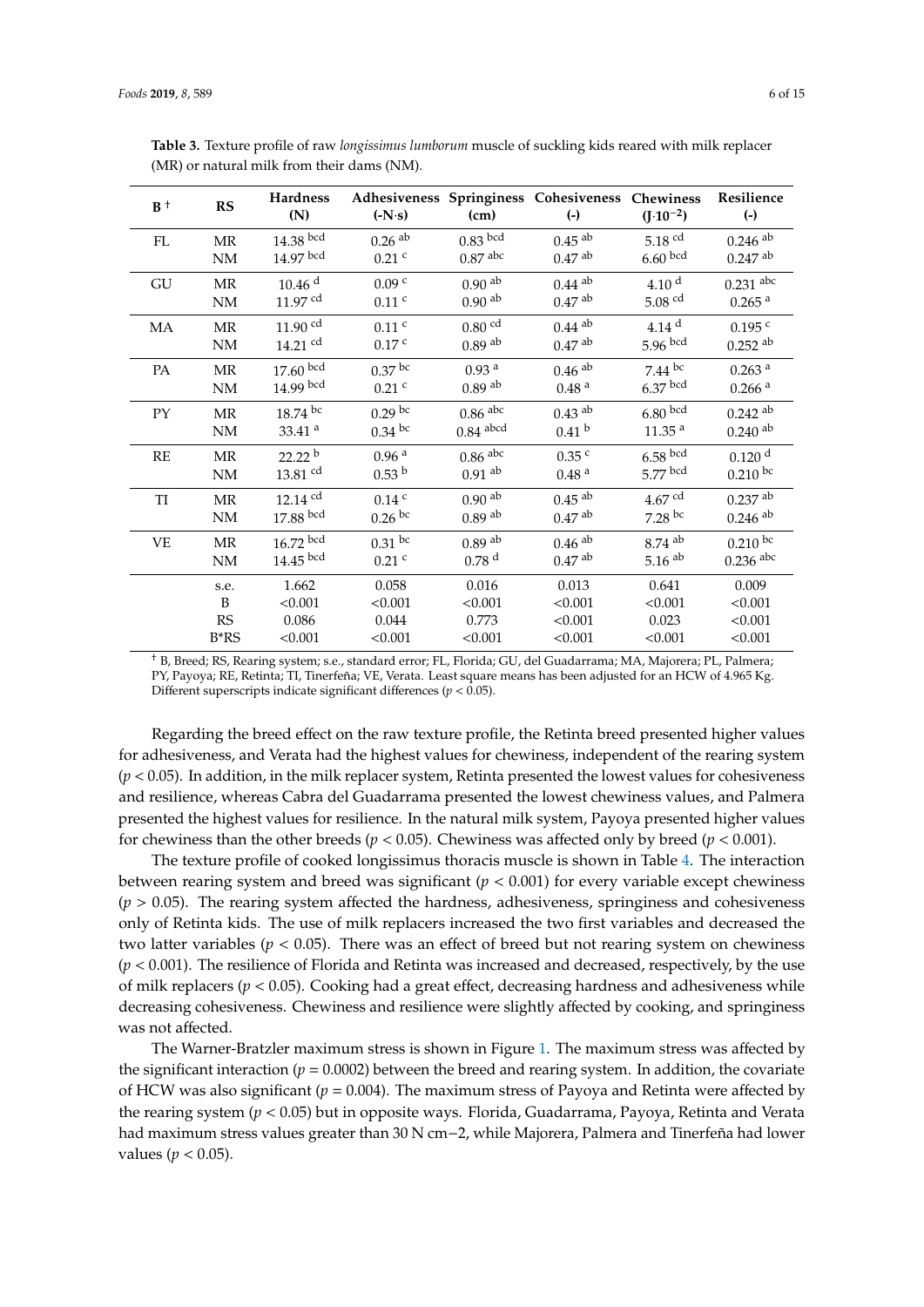| $B^+$ | RS        | <b>Hardness</b><br>(N) | $(-N\cdot s)$        | (cm)                  | Adhesiveness Springiness Cohesiveness Chewiness<br>$(-)$ | $(J·10-2)$           | Resilience<br>$(-)$    |
|-------|-----------|------------------------|----------------------|-----------------------|----------------------------------------------------------|----------------------|------------------------|
| FL    | <b>MR</b> | $14.38$ bcd            | $0.26$ <sup>ab</sup> | $0.83$ bcd            | $0.45$ <sup>ab</sup>                                     | $5.18$ <sup>cd</sup> | $0.246$ <sup>ab</sup>  |
|       | NM        | $14.97$ bcd            | $0.21$ c             | $0.87$ <sup>abc</sup> | $0.47$ <sup>ab</sup>                                     | $6.60$ bcd           | $0.247$ <sup>ab</sup>  |
| GU    | MR        | $10.46$ <sup>d</sup>   | 0.09 <sup>c</sup>    | $0.90$ <sup>ab</sup>  | $0.44$ <sup>ab</sup>                                     | 4.10 <sup>d</sup>    | $0.231$ abc            |
|       | NM        | 11.97 cd               | $0.11$ c             | $0.90$ <sup>ab</sup>  | $0.47$ <sup>ab</sup>                                     | $5.08$ <sup>cd</sup> | $0.265$ <sup>a</sup>   |
| MA    | <b>MR</b> | $11.90$ cd             | $0.11$ $c$           | $0.80$ cd             | $0.44$ ab                                                | 4.14 $d$             | $0.195$ <sup>c</sup>   |
|       | NM        | $14.21$ <sup>cd</sup>  | 0.17 <sup>c</sup>    | $0.89$ <sup>ab</sup>  | $0.47$ <sup>ab</sup>                                     | $5.96$ bcd           | $0.252$ <sup>ab</sup>  |
| PA    | <b>MR</b> | $17.60$ bcd            | $0.37$ bc            | 0.93 <sup>a</sup>     | $0.46$ <sup>ab</sup>                                     | $7.44~\rm{bc}$       | $0.263$ <sup>a</sup>   |
|       | <b>NM</b> | $14.99$ bcd            | $0.21$ c             | $0.89$ <sup>ab</sup>  | 0.48 <sup>a</sup>                                        | $6.37$ bcd           | $0.266$ <sup>a</sup>   |
| PY    | <b>MR</b> | $18.74$ bc             | $0.29$ bc            | $0.86$ abc            | $0.43$ <sup>ab</sup>                                     | $6.80$ bcd           | $0.242$ <sup>ab</sup>  |
|       | NM        | $33.41$ <sup>a</sup>   | $0.34~\rm{bc}$       | $0.84~^{\rm abcd}$    | 0.41 <sup>b</sup>                                        | 11.35 <sup>a</sup>   | $0.240$ <sup>ab</sup>  |
| RE    | MR        | 22.22 <sup>b</sup>     | 0.96 <sup>a</sup>    | $0.86$ abc            | $0.35$ c                                                 | $6.58$ bcd           | $0.120$ d              |
|       | NM        | $13.81$ cd             | 0.53 <sup>b</sup>    | $0.91$ <sup>ab</sup>  | 0.48 <sup>a</sup>                                        | 5.77 bcd             | $0.210$ bc             |
| TI    | <b>MR</b> | $12.14$ cd             | $0.14$ $c$           | 0.90 <sup>ab</sup>    | $0.45$ <sup>ab</sup>                                     | $4.67$ cd            | $0.237$ <sup>ab</sup>  |
|       | NM        | $17.88$ bcd            | $0.26$ bc            | $0.89$ <sup>ab</sup>  | $0.47$ <sup>ab</sup>                                     | $7.28~\rm{bc}$       | $0.246$ <sup>ab</sup>  |
| VE    | <b>MR</b> | $16.72$ bcd            | $0.31$ bc            | $0.89$ <sup>ab</sup>  | $0.46$ <sup>ab</sup>                                     | $8.74$ <sup>ab</sup> | $0.210^{bc}$           |
|       | NM        | $14.45$ bcd            | $0.21$ c             | 0.78 <sup>d</sup>     | $0.47$ <sup>ab</sup>                                     | $5.16$ <sup>ab</sup> | $0.236$ <sup>abc</sup> |
|       | s.e.      | 1.662                  | 0.058                | 0.016                 | 0.013                                                    | 0.641                | 0.009                  |
|       | B         | < 0.001                | < 0.001              | < 0.001               | < 0.001                                                  | < 0.001              | < 0.001                |
|       | RS        | 0.086                  | 0.044                | 0.773                 | < 0.001                                                  | 0.023                | < 0.001                |
|       | $B*RS$    | < 0.001                | < 0.001              | < 0.001               | < 0.001                                                  | < 0.001              | < 0.001                |

<span id="page-5-0"></span>**Table 3.** Texture profile of raw *longissimus lumborum* muscle of suckling kids reared with milk replacer (MR) or natural milk from their dams (NM).

† B, Breed; RS, Rearing system; s.e., standard error; FL, Florida; GU, del Guadarrama; MA, Majorera; PL, Palmera; PY, Payoya; RE, Retinta; TI, Tinerfeña; VE, Verata. Least square means has been adjusted for an HCW of 4.965 Kg. Different superscripts indicate significant differences (*p* < 0.05).

Regarding the breed effect on the raw texture profile, the Retinta breed presented higher values for adhesiveness, and Verata had the highest values for chewiness, independent of the rearing system  $(p < 0.05)$ . In addition, in the milk replacer system, Retinta presented the lowest values for cohesiveness and resilience, whereas Cabra del Guadarrama presented the lowest chewiness values, and Palmera presented the highest values for resilience. In the natural milk system, Payoya presented higher values for chewiness than the other breeds ( $p < 0.05$ ). Chewiness was affected only by breed ( $p < 0.001$ ).

The texture profile of cooked longissimus thoracis muscle is shown in Table [4.](#page-6-0) The interaction between rearing system and breed was significant  $(p < 0.001)$  for every variable except chewiness  $(p > 0.05)$ . The rearing system affected the hardness, adhesiveness, springiness and cohesiveness only of Retinta kids. The use of milk replacers increased the two first variables and decreased the two latter variables ( $p < 0.05$ ). There was an effect of breed but not rearing system on chewiness  $(p < 0.001)$ . The resilience of Florida and Retinta was increased and decreased, respectively, by the use of milk replacers ( $p < 0.05$ ). Cooking had a great effect, decreasing hardness and adhesiveness while decreasing cohesiveness. Chewiness and resilience were slightly affected by cooking, and springiness was not affected.

The Warner-Bratzler maximum stress is shown in Figure [1.](#page-6-1) The maximum stress was affected by the significant interaction ( $p = 0.0002$ ) between the breed and rearing system. In addition, the covariate of HCW was also significant ( $p = 0.004$ ). The maximum stress of Payoya and Retinta were affected by the rearing system (*p* < 0.05) but in opposite ways. Florida, Guadarrama, Payoya, Retinta and Verata had maximum stress values greater than 30 N cm−2, while Majorera, Palmera and Tinerfeña had lower values ( $p < 0.05$ ).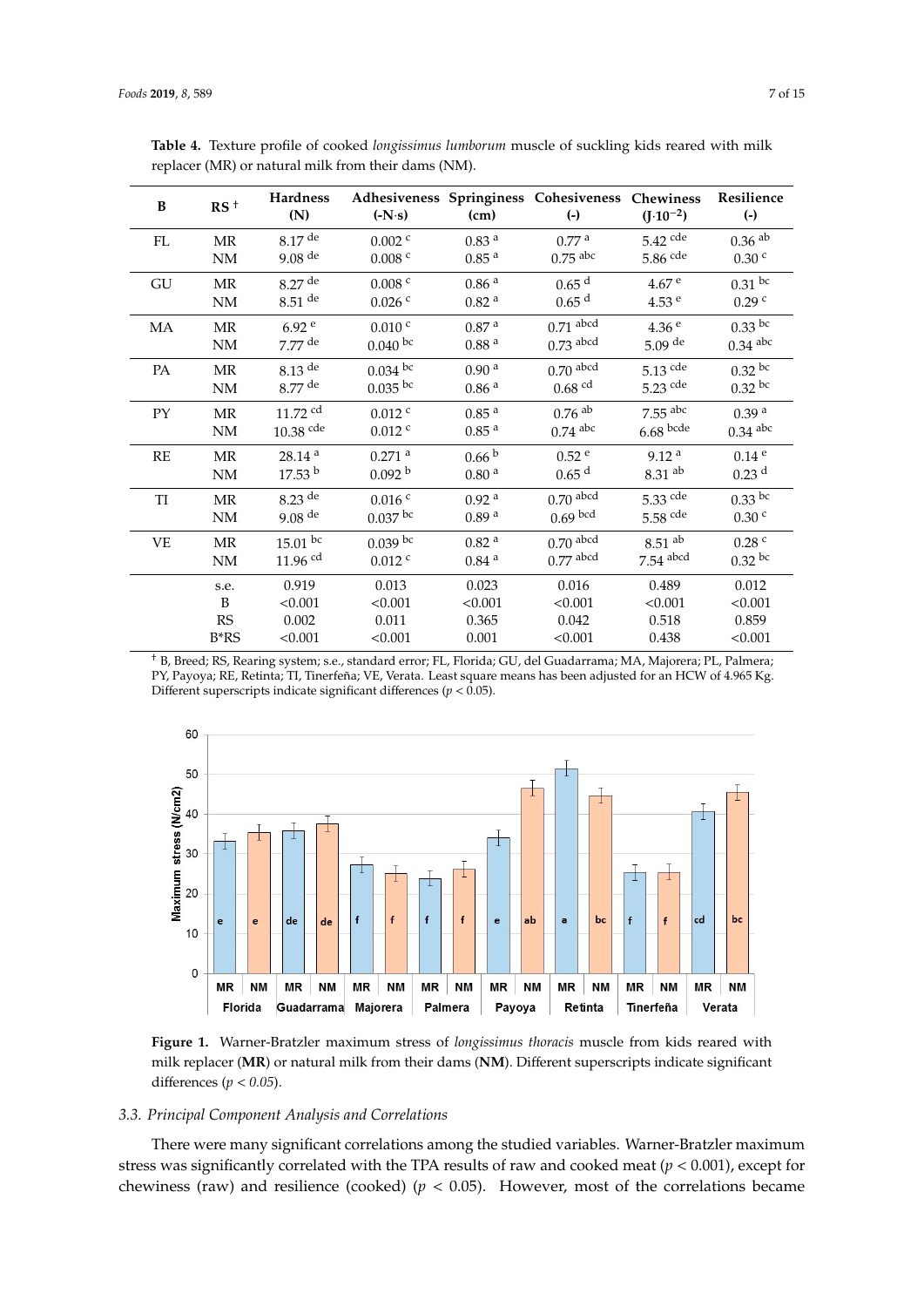| B  | $RS^+$    | <b>Hardness</b><br>(N) | $(-N\cdot s)$        | (cm)                | Adhesiveness Springiness Cohesiveness Chewiness<br>$(-)$ | $(J·10-2)$             | Resilience<br>$(-)$   |
|----|-----------|------------------------|----------------------|---------------------|----------------------------------------------------------|------------------------|-----------------------|
| FL | <b>MR</b> | $8.17$ <sup>de</sup>   | $0.002$ c            | 0.83 <sup>a</sup>   | 0.77 <sup>a</sup>                                        | $5.42$ cde             | $0.36$ <sup>ab</sup>  |
|    | NM        | $9.08$ <sup>de</sup>   | $0.008$ $c$          | 0.85 <sup>a</sup>   | $0.75$ <sup>abc</sup>                                    | $5.86$ cde             | 0.30 <sup>c</sup>     |
| GU | <b>MR</b> | $8.27$ <sup>de</sup>   | $0.008$ $^{\rm c}$   | 0.86 <sup>a</sup>   | $0.65$ <sup>d</sup>                                      | 4.67 e                 | $0.31$ bc             |
|    | NM        | $8.51$ <sup>de</sup>   | $0.026$ c            | 0.82 <sup>a</sup>   | $0.65$ <sup>d</sup>                                      | 4.53 e                 | 0.29 <sup>c</sup>     |
| MA | <b>MR</b> | 6.92 e                 | 0.010 c              | 0.87 <sup>a</sup>   | $0.71$ abcd                                              | 4.36 <sup>e</sup>      | $0.33$ bc             |
|    | NM        | $7.77$ de              | $0.040^{bc}$         | 0.88 <sup>a</sup>   | $0.73$ abcd                                              | $5.09$ <sup>de</sup>   | $0.34$ <sup>abc</sup> |
| PA | <b>MR</b> | $8.13$ de              | $0.034$ bc           | 0.90 <sup>a</sup>   | $0.70$ abcd                                              | $5.13$ cde             | $0.32$ bc             |
|    | NM        | $8.77$ <sup>de</sup>   | $0.035$ bc           | 0.86 <sup>a</sup>   | $0.68$ cd                                                | $5.23$ cde             | $0.32$ bc             |
| PY | <b>MR</b> | $11.72$ <sup>cd</sup>  | $0.012$ $c$          | 0.85 <sup>a</sup>   | $0.76$ <sup>ab</sup>                                     | $7.55$ <sup>abc</sup>  | 0.39 <sup>a</sup>     |
|    | NM        | $10.38$ cde            | $0.012$ $^{\rm c}$   | 0.85 <sup>a</sup>   | $0.74$ abc                                               | $6.68$ bcde            | $0.34$ abc            |
| RE | MR        | 28.14 <sup>a</sup>     | $0.271$ <sup>a</sup> | 0.66 <sup>b</sup>   | $0.52$ <sup>e</sup>                                      | 9.12 <sup>a</sup>      | $0.14$ <sup>e</sup>   |
|    | NM        | 17.53 <sup>b</sup>     | 0.092 <sup>b</sup>   | 0.80 <sup>a</sup>   | $0.65$ <sup>d</sup>                                      | 8.31 <sup>ab</sup>     | 0.23 <sup>d</sup>     |
| TI | MR        | $8.23$ <sup>de</sup>   | $0.016$ $c$          | 0.92 <sup>a</sup>   | $0.70$ abcd                                              | $5.33$ cde             | $0.33$ bc             |
|    | NM        | $9.08$ <sup>de</sup>   | $0.037$ bc           | 0.89 <sup>a</sup>   | $0.69$ bcd                                               | $5.58$ cde             | 0.30 <sup>c</sup>     |
| VE | MR        | $15.01$ bc             | $0.039$ bc           | 0.82 <sup>a</sup>   | $0.70$ abcd                                              | $8.51$ <sup>ab</sup>   | 0.28 <sup>c</sup>     |
|    | NM        | $11.96$ cd             | $0.012$ c            | $0.84$ <sup>a</sup> | $0.77$ abcd                                              | $7.54$ <sup>abcd</sup> | $0.32$ bc             |
|    | s.e.      | 0.919                  | 0.013                | 0.023               | 0.016                                                    | 0.489                  | 0.012                 |
|    | B         | < 0.001                | < 0.001              | < 0.001             | < 0.001                                                  | < 0.001                | < 0.001               |
|    | RS        | 0.002                  | 0.011                | 0.365               | 0.042                                                    | 0.518                  | 0.859                 |
|    | $B*RS$    | < 0.001                | < 0.001              | 0.001               | < 0.001                                                  | 0.438                  | < 0.001               |

<span id="page-6-0"></span>**Table 4.** Texture profile of cooked *longissimus lumborum* muscle of suckling kids reared with milk replacer (MR) or natural milk from their dams (NM).

<sup>†</sup> B, Breed; RS, Rearing system; s.e., standard error; FL, Florida; GU, del Guadarrama; MA, Majorera; PL, Palmera; PY, Payoya; RE, Retinta; TI, Tinerfeña; VE, Verata. Least square means has been adjusted for an HCW of 4.965 Kg.<br> Different superscripts indicate significant differences ( $p < 0.05$ ).

<span id="page-6-1"></span>

milk replacer (MR) or natural milk from their dams (NM). Different superscripts indicate significant differences ( $p < 0.05$ ). **Figure 1.** Warner-Bratzler maximum stress of *longissimus thoracis* muscle from kids reared with

# differences (*p < 0.05*). *3.3. Principal Component Analysis and Correlations*

*3.3. Principal Component Analysis and Correlations*  There were many significant correlations among the studied variables. Warner-Bratzler maximum stress was significantly correlated with the TPA results of raw and cooked meat ( $p < 0.001$ ), except for chewiness (raw) and resilience (cooked) ( $p < 0.05$ ). However, most of the correlations became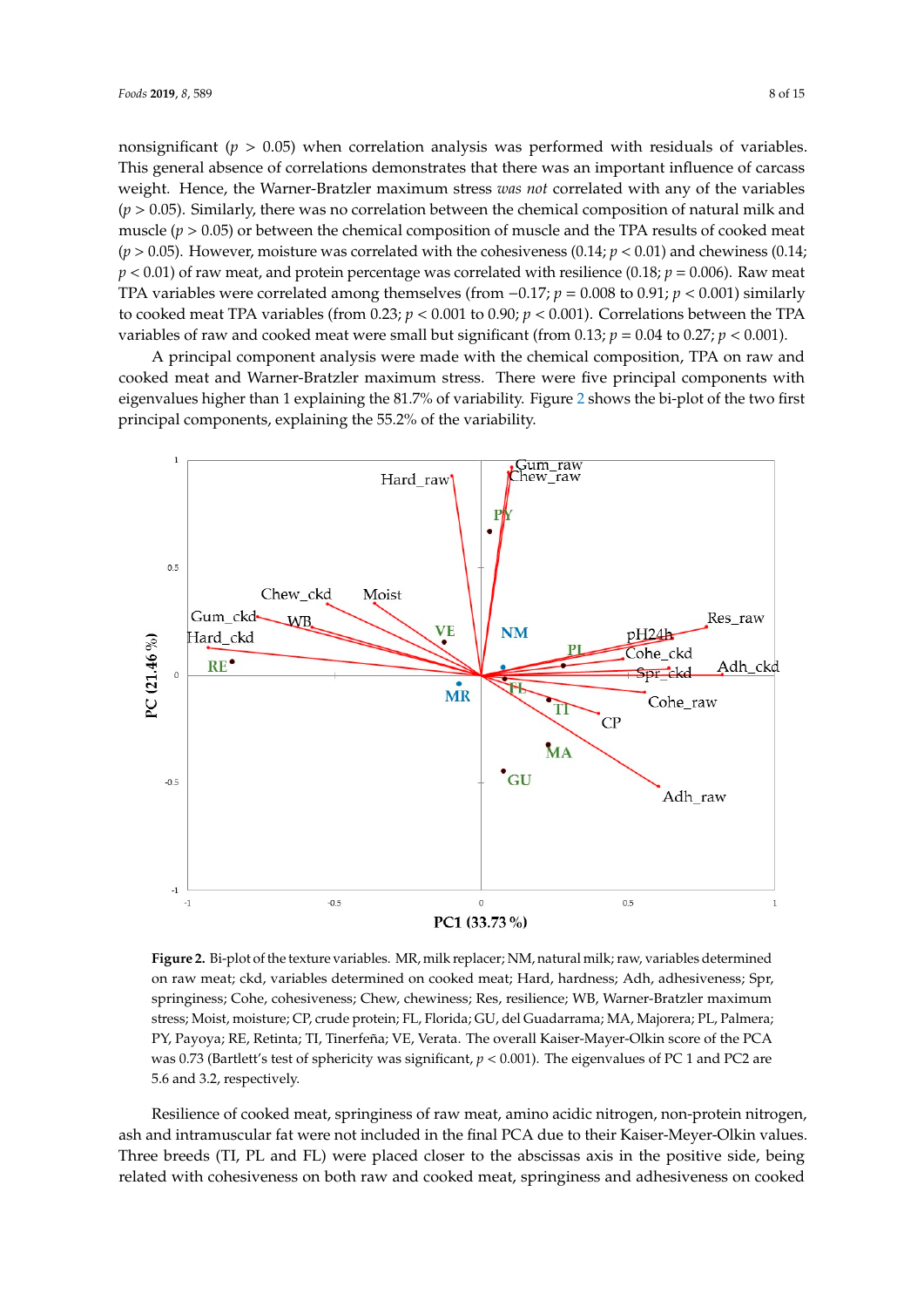nonsignificant (*p* > 0.05) when correlation analysis was performed with residuals of variables. This general absence of correlations demonstrates that there was an important influence of carcass weight. Hence, the Warner-Bratzler maximum stress *was not* correlated with any of the variables  $(p > 0.05)$ . Similarly, there was no correlation between the chemical composition of natural milk and muscle ( $p > 0.05$ ) or between the chemical composition of muscle and the TPA results of cooked meat ( $p > 0.05$ ). However, moisture was correlated with the cohesiveness (0.14;  $p < 0.01$ ) and chewiness (0.14;  $p < 0.01$ ) of raw meat, and protein percentage was correlated with resilience (0.18;  $p = 0.006$ ). Raw meat TPA variables were correlated among themselves (from  $-0.17$ ;  $p = 0.008$  to  $0.91$ ;  $p < 0.001$ ) similarly to cooked meat TPA variables (from 0.23;  $p < 0.001$  to 0.90;  $p < 0.001$ ). Correlations between the TPA variables of raw and cooked meat were small but significant (from 0.13;  $p = 0.04$  to 0.27;  $p < 0.001$ ).

A principal component analysis were made with the chemical composition, TPA on raw and A principal component analysis were made with the chemical composition, TPA on raw and cooked meat and Warner-Bratzler maximum stress. There were five principal components with cooked meat and Warner-Bratzler maximum stress. There were five principal components with eigenvalues higher than 1 explaining the 81.7% of variability. Figure 2 shows the bi-plot of the two first eigenvalues higher than 1 explaining the 81.7% of variability. Figu[re](#page-7-0) 2 shows the bi-plot of the two principal components, explaining the 55.2% of the variability.

<span id="page-7-0"></span>

on raw meat; ckd, variables determined on cooked meat; Hard, hardness; Adh, adhesiveness; Spr, springiness; Cohe, cohesiveness; Chew, chewiness; Res, resilience; WB, Warner-Bratzler maximum stress; Moist, moisture; CP, crude protein; FL, Florida; GU, del Guadarrama; MA, Majorera; PL, Palmera; PY, Payoya; RE, Retinta; TI, Tinerfeña; VE, Verata. The overall Kaiser-Mayer-Olkin score of the PCA was 0.73 (Bartlett's test of sphericity was significant,  $p < 0.001$ ). The eigenvalues of PC 1 and PC2 are 5.6 and 3.2, respectively. **Figure 2.** Bi-plot of the texture variables. MR, milk replacer; NM, natural milk; raw, variables determined

ash and intramuscular fat were not included in the final PCA due to their Kaiser-Meyer-Olkin values. Three breeds (TI, PL and FL) were placed closer to the abscissas axis in the positive side, being related with cohesiveness on both raw and cooked meat, springiness and adhesiveness on cooked Resilience of cooked meat, springiness of raw meat, amino acidic nitrogen, non-protein nitrogen,

of PC 1 and PC2 are 5.6 and 3.2, respectively.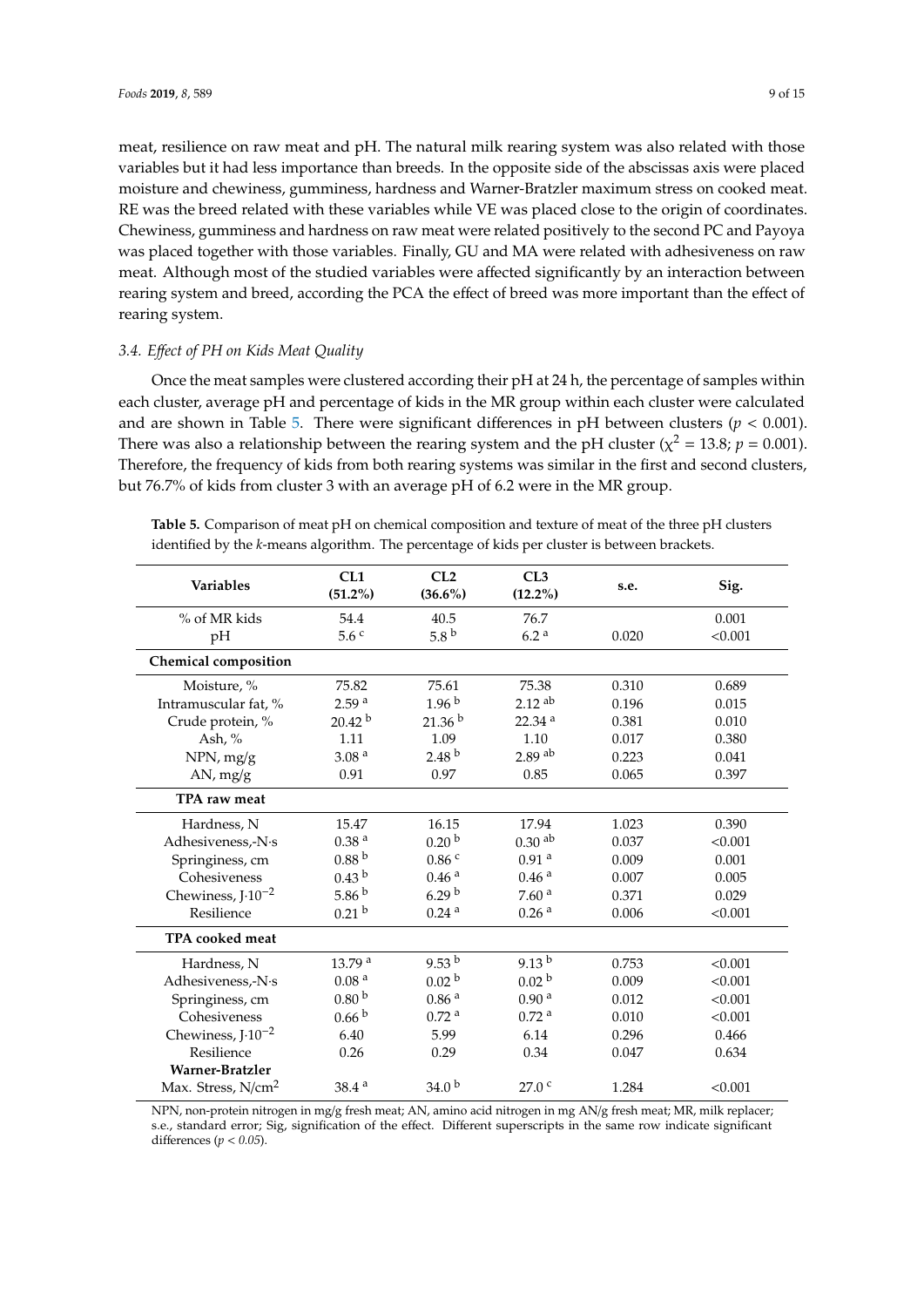meat, resilience on raw meat and pH. The natural milk rearing system was also related with those variables but it had less importance than breeds. In the opposite side of the abscissas axis were placed moisture and chewiness, gumminess, hardness and Warner-Bratzler maximum stress on cooked meat. RE was the breed related with these variables while VE was placed close to the origin of coordinates. Chewiness, gumminess and hardness on raw meat were related positively to the second PC and Payoya was placed together with those variables. Finally, GU and MA were related with adhesiveness on raw meat. Although most of the studied variables were affected significantly by an interaction between rearing system and breed, according the PCA the effect of breed was more important than the effect of rearing system.

## *3.4. E*ff*ect of PH on Kids Meat Quality*

Once the meat samples were clustered according their pH at 24 h, the percentage of samples within each cluster, average pH and percentage of kids in the MR group within each cluster were calculated and are shown in Table [5.](#page-8-0) There were significant differences in pH between clusters ( $p < 0.001$ ). There was also a relationship between the rearing system and the pH cluster ( $\chi^2$  = 13.8; *p* = 0.001). Therefore, the frequency of kids from both rearing systems was similar in the first and second clusters, but 76.7% of kids from cluster 3 with an average pH of 6.2 were in the MR group.

| Variables                      | CL1<br>$(51.2\%)$  | CL2<br>$(36.6\%)$   | CL3<br>$(12.2\%)$    | s.e.  | Sig.    |
|--------------------------------|--------------------|---------------------|----------------------|-------|---------|
| % of MR kids                   | 54.4               | 40.5                | 76.7                 |       | 0.001   |
| pH                             | 5.6 <sup>c</sup>   | 5.8 <sup>b</sup>    | 6.2 <sup>a</sup>     | 0.020 | < 0.001 |
| Chemical composition           |                    |                     |                      |       |         |
| Moisture, %                    | 75.82              | 75.61               | 75.38                | 0.310 | 0.689   |
| Intramuscular fat, %           | 2.59 <sup>a</sup>  | 1.96 <sup>b</sup>   | $2.12^{ab}$          | 0.196 | 0.015   |
| Crude protein, %               | 20.42 <sup>b</sup> | 21.36 <sup>b</sup>  | 22.34 <sup>a</sup>   | 0.381 | 0.010   |
| Ash, $%$                       | 1.11               | 1.09                | 1.10                 | 0.017 | 0.380   |
| $NPN$ , mg/g                   | 3.08 <sup>a</sup>  | 2.48 <sup>b</sup>   | $2.89$ <sup>ab</sup> | 0.223 | 0.041   |
| AN, mg/g                       | 0.91               | 0.97                | 0.85                 | 0.065 | 0.397   |
| TPA raw meat                   |                    |                     |                      |       |         |
| Hardness, N                    | 15.47              | 16.15               | 17.94                | 1.023 | 0.390   |
| Adhesiveness,-N·s              | 0.38 <sup>a</sup>  | 0.20 <sup>b</sup>   | $0.30$ <sup>ab</sup> | 0.037 | < 0.001 |
| Springiness, cm                | 0.88 <sup>b</sup>  | 0.86 <sup>c</sup>   | 0.91 <sup>a</sup>    | 0.009 | 0.001   |
| Cohesiveness                   | 0.43 <sup>b</sup>  | 0.46 <sup>a</sup>   | 0.46 <sup>a</sup>    | 0.007 | 0.005   |
| Chewiness, $J \cdot 10^{-2}$   | 5.86 $^{\rm b}$    | 6.29 <sup>b</sup>   | 7.60 <sup>a</sup>    | 0.371 | 0.029   |
| Resilience                     | 0.21 <sup>b</sup>  | $0.24$ <sup>a</sup> | 0.26 <sup>a</sup>    | 0.006 | < 0.001 |
| TPA cooked meat                |                    |                     |                      |       |         |
| Hardness, N                    | 13.79 <sup>a</sup> | 9.53 <sup>b</sup>   | $9.13^{b}$           | 0.753 | < 0.001 |
| Adhesiveness,-N·s              | 0.08 <sup>a</sup>  | 0.02 <sup>b</sup>   | 0.02 <sup>b</sup>    | 0.009 | < 0.001 |
| Springiness, cm                | 0.80 <sup>b</sup>  | 0.86 <sup>a</sup>   | 0.90 <sup>a</sup>    | 0.012 | < 0.001 |
| Cohesiveness                   | 0.66 <sup>b</sup>  | 0.72 <sup>a</sup>   | 0.72 <sup>a</sup>    | 0.010 | < 0.001 |
| Chewiness, $J \cdot 10^{-2}$   | 6.40               | 5.99                | 6.14                 | 0.296 | 0.466   |
| Resilience                     | 0.26               | 0.29                | 0.34                 | 0.047 | 0.634   |
| Warner-Bratzler                |                    |                     |                      |       |         |
| Max. Stress, N/cm <sup>2</sup> | 38.4 <sup>a</sup>  | 34.0 <sup>b</sup>   | 27.0 <sup>c</sup>    | 1.284 | < 0.001 |

<span id="page-8-0"></span>**Table 5.** Comparison of meat pH on chemical composition and texture of meat of the three pH clusters identified by the *k*-means algorithm. The percentage of kids per cluster is between brackets.

NPN, non-protein nitrogen in mg/g fresh meat; AN, amino acid nitrogen in mg AN/g fresh meat; MR, milk replacer; s.e., standard error; Sig, signification of the effect. Different superscripts in the same row indicate significant differences (*p* < *0.05*).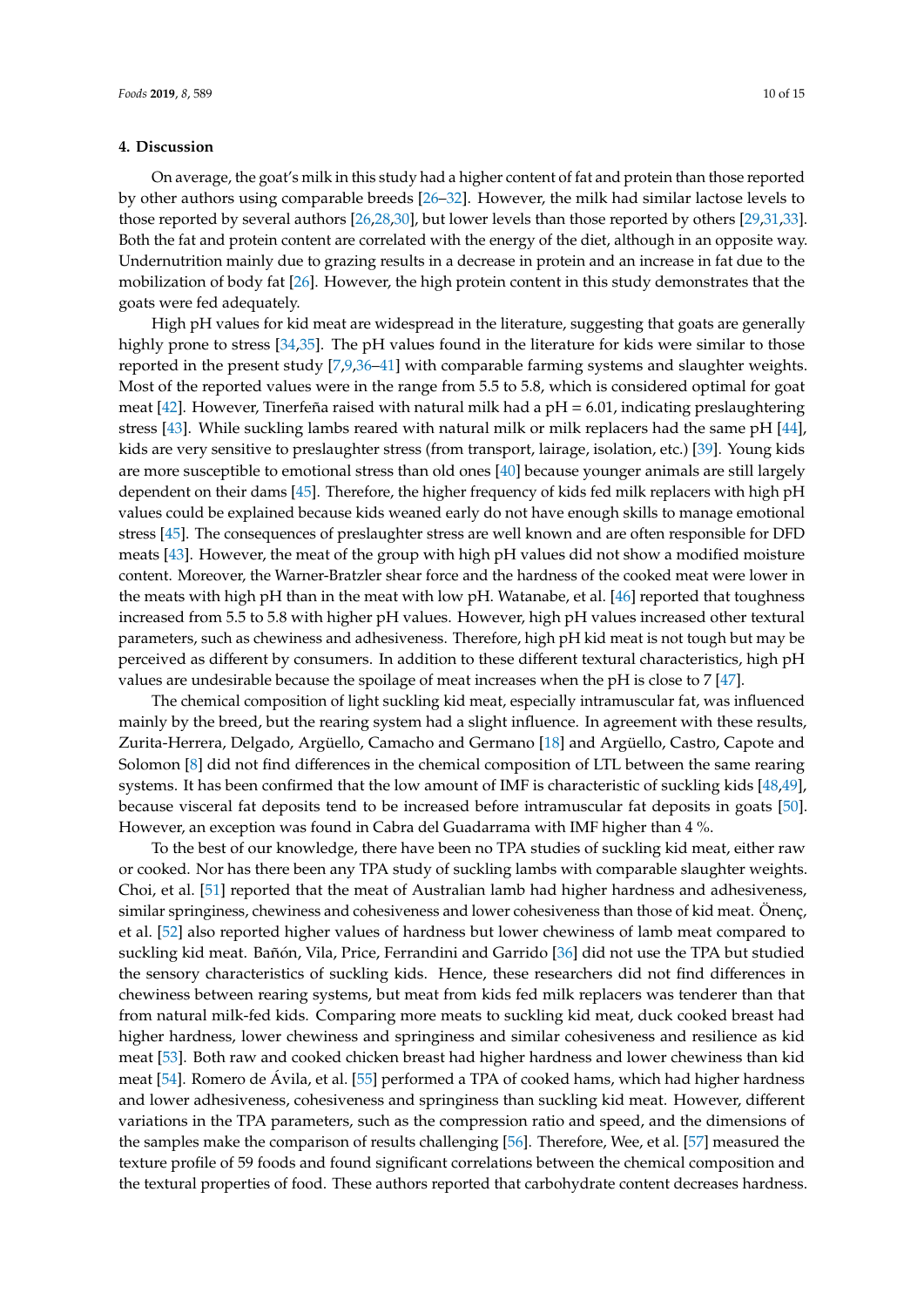#### **4. Discussion**

On average, the goat's milk in this study had a higher content of fat and protein than those reported by other authors using comparable breeds [\[26–](#page-12-5)[32\]](#page-12-6). However, the milk had similar lactose levels to those reported by several authors [\[26,](#page-12-5)[28,](#page-12-7)[30\]](#page-12-8), but lower levels than those reported by others [\[29](#page-12-9)[,31,](#page-12-10)[33\]](#page-12-11). Both the fat and protein content are correlated with the energy of the diet, although in an opposite way. Undernutrition mainly due to grazing results in a decrease in protein and an increase in fat due to the mobilization of body fat [\[26\]](#page-12-5). However, the high protein content in this study demonstrates that the goats were fed adequately.

High pH values for kid meat are widespread in the literature, suggesting that goats are generally highly prone to stress [\[34,](#page-12-12)[35\]](#page-12-13). The pH values found in the literature for kids were similar to those reported in the present study [\[7,](#page-11-5)[9,](#page-11-7)[36–](#page-12-14)[41\]](#page-12-15) with comparable farming systems and slaughter weights. Most of the reported values were in the range from 5.5 to 5.8, which is considered optimal for goat meat [\[42\]](#page-12-16). However, Tinerfeña raised with natural milk had a  $pH = 6.01$ , indicating preslaughtering stress [\[43\]](#page-13-0). While suckling lambs reared with natural milk or milk replacers had the same pH [\[44\]](#page-13-1), kids are very sensitive to preslaughter stress (from transport, lairage, isolation, etc.) [\[39\]](#page-12-17). Young kids are more susceptible to emotional stress than old ones [\[40\]](#page-12-18) because younger animals are still largely dependent on their dams [\[45\]](#page-13-2). Therefore, the higher frequency of kids fed milk replacers with high pH values could be explained because kids weaned early do not have enough skills to manage emotional stress [\[45\]](#page-13-2). The consequences of preslaughter stress are well known and are often responsible for DFD meats [\[43\]](#page-13-0). However, the meat of the group with high pH values did not show a modified moisture content. Moreover, the Warner-Bratzler shear force and the hardness of the cooked meat were lower in the meats with high pH than in the meat with low pH. Watanabe, et al. [\[46\]](#page-13-3) reported that toughness increased from 5.5 to 5.8 with higher pH values. However, high pH values increased other textural parameters, such as chewiness and adhesiveness. Therefore, high pH kid meat is not tough but may be perceived as different by consumers. In addition to these different textural characteristics, high pH values are undesirable because the spoilage of meat increases when the pH is close to 7 [\[47\]](#page-13-4).

The chemical composition of light suckling kid meat, especially intramuscular fat, was influenced mainly by the breed, but the rearing system had a slight influence. In agreement with these results, Zurita-Herrera, Delgado, Argüello, Camacho and Germano [\[18\]](#page-11-16) and Argüello, Castro, Capote and Solomon [\[8\]](#page-11-6) did not find differences in the chemical composition of LTL between the same rearing systems. It has been confirmed that the low amount of IMF is characteristic of suckling kids [\[48,](#page-13-5)[49\]](#page-13-6), because visceral fat deposits tend to be increased before intramuscular fat deposits in goats [\[50\]](#page-13-7). However, an exception was found in Cabra del Guadarrama with IMF higher than 4 %.

To the best of our knowledge, there have been no TPA studies of suckling kid meat, either raw or cooked. Nor has there been any TPA study of suckling lambs with comparable slaughter weights. Choi, et al. [\[51\]](#page-13-8) reported that the meat of Australian lamb had higher hardness and adhesiveness, similar springiness, chewiness and cohesiveness and lower cohesiveness than those of kid meat. Önenç, et al. [\[52\]](#page-13-9) also reported higher values of hardness but lower chewiness of lamb meat compared to suckling kid meat. Bañón, Vila, Price, Ferrandini and Garrido [\[36\]](#page-12-14) did not use the TPA but studied the sensory characteristics of suckling kids. Hence, these researchers did not find differences in chewiness between rearing systems, but meat from kids fed milk replacers was tenderer than that from natural milk-fed kids. Comparing more meats to suckling kid meat, duck cooked breast had higher hardness, lower chewiness and springiness and similar cohesiveness and resilience as kid meat [\[53\]](#page-13-10). Both raw and cooked chicken breast had higher hardness and lower chewiness than kid meat [\[54\]](#page-13-11). Romero de Ávila, et al. [\[55\]](#page-13-12) performed a TPA of cooked hams, which had higher hardness and lower adhesiveness, cohesiveness and springiness than suckling kid meat. However, different variations in the TPA parameters, such as the compression ratio and speed, and the dimensions of the samples make the comparison of results challenging [\[56\]](#page-13-13). Therefore, Wee, et al. [\[57\]](#page-13-14) measured the texture profile of 59 foods and found significant correlations between the chemical composition and the textural properties of food. These authors reported that carbohydrate content decreases hardness.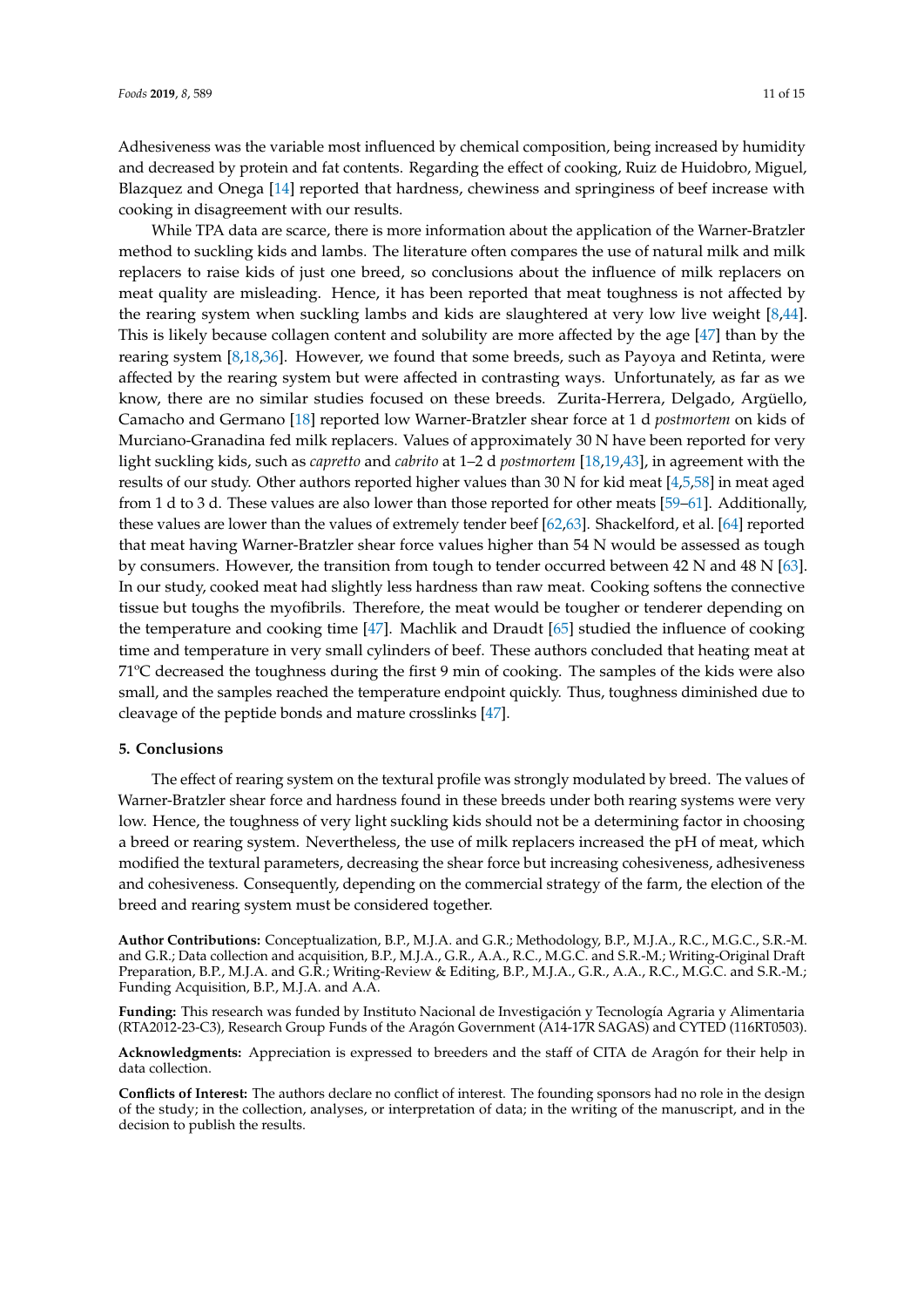Adhesiveness was the variable most influenced by chemical composition, being increased by humidity and decreased by protein and fat contents. Regarding the effect of cooking, Ruiz de Huidobro, Miguel, Blazquez and Onega [\[14\]](#page-11-12) reported that hardness, chewiness and springiness of beef increase with cooking in disagreement with our results.

While TPA data are scarce, there is more information about the application of the Warner-Bratzler method to suckling kids and lambs. The literature often compares the use of natural milk and milk replacers to raise kids of just one breed, so conclusions about the influence of milk replacers on meat quality are misleading. Hence, it has been reported that meat toughness is not affected by the rearing system when suckling lambs and kids are slaughtered at very low live weight [\[8,](#page-11-6)[44\]](#page-13-1). This is likely because collagen content and solubility are more affected by the age [\[47\]](#page-13-4) than by the rearing system [\[8,](#page-11-6)[18,](#page-11-16)[36\]](#page-12-14). However, we found that some breeds, such as Payoya and Retinta, were affected by the rearing system but were affected in contrasting ways. Unfortunately, as far as we know, there are no similar studies focused on these breeds. Zurita-Herrera, Delgado, Argüello, Camacho and Germano [\[18\]](#page-11-16) reported low Warner-Bratzler shear force at 1 d *postmortem* on kids of Murciano-Granadina fed milk replacers. Values of approximately 30 N have been reported for very light suckling kids, such as *capretto* and *cabrito* at 1–2 d *postmortem* [\[18](#page-11-16)[,19](#page-11-14)[,43\]](#page-13-0), in agreement with the results of our study. Other authors reported higher values than 30 N for kid meat [\[4](#page-11-17)[,5](#page-11-3)[,58\]](#page-13-15) in meat aged from 1 d to 3 d. These values are also lower than those reported for other meats [\[59–](#page-13-16)[61\]](#page-13-17). Additionally, these values are lower than the values of extremely tender beef [\[62](#page-13-18)[,63\]](#page-13-19). Shackelford, et al. [\[64\]](#page-14-0) reported that meat having Warner-Bratzler shear force values higher than 54 N would be assessed as tough by consumers. However, the transition from tough to tender occurred between 42 N and 48 N [\[63\]](#page-13-19). In our study, cooked meat had slightly less hardness than raw meat. Cooking softens the connective tissue but toughs the myofibrils. Therefore, the meat would be tougher or tenderer depending on the temperature and cooking time [\[47\]](#page-13-4). Machlik and Draudt [\[65\]](#page-14-1) studied the influence of cooking time and temperature in very small cylinders of beef. These authors concluded that heating meat at 71ºC decreased the toughness during the first 9 min of cooking. The samples of the kids were also small, and the samples reached the temperature endpoint quickly. Thus, toughness diminished due to cleavage of the peptide bonds and mature crosslinks [\[47\]](#page-13-4).

#### **5. Conclusions**

The effect of rearing system on the textural profile was strongly modulated by breed. The values of Warner-Bratzler shear force and hardness found in these breeds under both rearing systems were very low. Hence, the toughness of very light suckling kids should not be a determining factor in choosing a breed or rearing system. Nevertheless, the use of milk replacers increased the pH of meat, which modified the textural parameters, decreasing the shear force but increasing cohesiveness, adhesiveness and cohesiveness. Consequently, depending on the commercial strategy of the farm, the election of the breed and rearing system must be considered together.

**Author Contributions:** Conceptualization, B.P., M.J.A. and G.R.; Methodology, B.P., M.J.A., R.C., M.G.C., S.R.-M. and G.R.; Data collection and acquisition, B.P., M.J.A., G.R., A.A., R.C., M.G.C. and S.R.-M.; Writing-Original Draft Preparation, B.P., M.J.A. and G.R.; Writing-Review & Editing, B.P., M.J.A., G.R., A.A., R.C., M.G.C. and S.R.-M.; Funding Acquisition, B.P., M.J.A. and A.A.

**Funding:** This research was funded by Instituto Nacional de Investigación y Tecnología Agraria y Alimentaria (RTA2012-23-C3), Research Group Funds of the Aragón Government (A14-17R SAGAS) and CYTED (116RT0503).

**Acknowledgments:** Appreciation is expressed to breeders and the staff of CITA de Aragón for their help in data collection.

**Conflicts of Interest:** The authors declare no conflict of interest. The founding sponsors had no role in the design of the study; in the collection, analyses, or interpretation of data; in the writing of the manuscript, and in the decision to publish the results.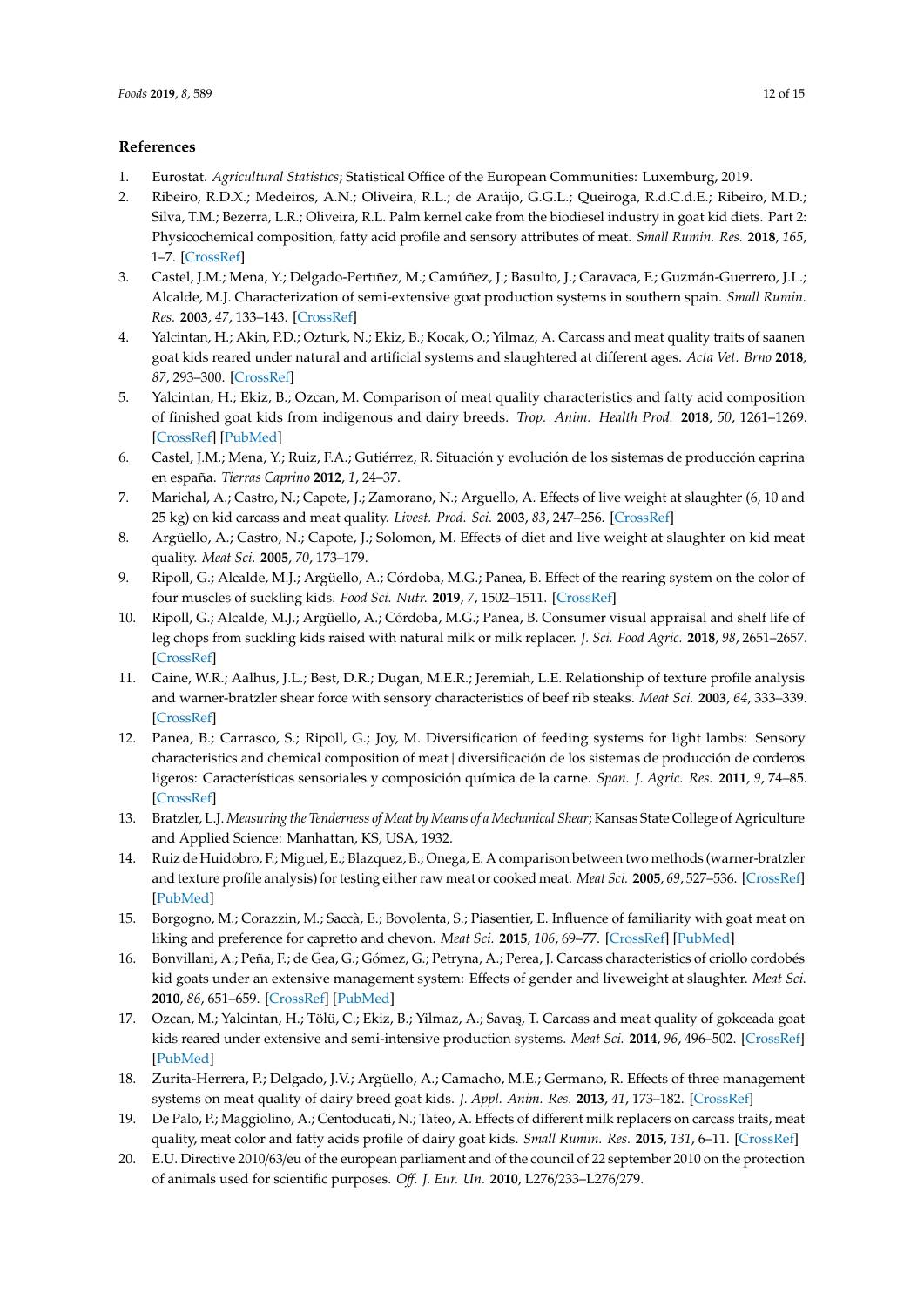# **References**

- <span id="page-11-0"></span>1. Eurostat. *Agricultural Statistics*; Statistical Office of the European Communities: Luxemburg, 2019.
- <span id="page-11-1"></span>2. Ribeiro, R.D.X.; Medeiros, A.N.; Oliveira, R.L.; de Araújo, G.G.L.; Queiroga, R.d.C.d.E.; Ribeiro, M.D.; Silva, T.M.; Bezerra, L.R.; Oliveira, R.L. Palm kernel cake from the biodiesel industry in goat kid diets. Part 2: Physicochemical composition, fatty acid profile and sensory attributes of meat. *Small Rumin. Res.* **2018**, *165*, 1–7. [\[CrossRef\]](http://dx.doi.org/10.1016/j.smallrumres.2018.05.014)
- <span id="page-11-2"></span>3. Castel, J.M.; Mena, Y.; Delgado-Pertıñez, M.; Camúñez, J.; Basulto, J.; Caravaca, F.; Guzmán-Guerrero, J.L.; Alcalde, M.J. Characterization of semi-extensive goat production systems in southern spain. *Small Rumin. Res.* **2003**, *47*, 133–143. [\[CrossRef\]](http://dx.doi.org/10.1016/S0921-4488(02)00250-X)
- <span id="page-11-17"></span>4. Yalcintan, H.; Akin, P.D.; Ozturk, N.; Ekiz, B.; Kocak, O.; Yilmaz, A. Carcass and meat quality traits of saanen goat kids reared under natural and artificial systems and slaughtered at different ages. *Acta Vet. Brno* **2018**, *87*, 293–300. [\[CrossRef\]](http://dx.doi.org/10.2754/avb201887030293)
- <span id="page-11-3"></span>5. Yalcintan, H.; Ekiz, B.; Ozcan, M. Comparison of meat quality characteristics and fatty acid composition of finished goat kids from indigenous and dairy breeds. *Trop. Anim. Health Prod.* **2018**, *50*, 1261–1269. [\[CrossRef\]](http://dx.doi.org/10.1007/s11250-018-1553-3) [\[PubMed\]](http://www.ncbi.nlm.nih.gov/pubmed/29502289)
- <span id="page-11-4"></span>6. Castel, J.M.; Mena, Y.; Ruiz, F.A.; Gutiérrez, R. Situación y evolución de los sistemas de producción caprina en españa. *Tierras Caprino* **2012**, *1*, 24–37.
- <span id="page-11-5"></span>7. Marichal, A.; Castro, N.; Capote, J.; Zamorano, N.; Arguello, A. Effects of live weight at slaughter (6, 10 and 25 kg) on kid carcass and meat quality. *Livest. Prod. Sci.* **2003**, *83*, 247–256. [\[CrossRef\]](http://dx.doi.org/10.1016/S0301-6226(03)00113-1)
- <span id="page-11-6"></span>8. Argüello, A.; Castro, N.; Capote, J.; Solomon, M. Effects of diet and live weight at slaughter on kid meat quality. *Meat Sci.* **2005**, *70*, 173–179.
- <span id="page-11-7"></span>9. Ripoll, G.; Alcalde, M.J.; Argüello, A.; Córdoba, M.G.; Panea, B. Effect of the rearing system on the color of four muscles of suckling kids. *Food Sci. Nutr.* **2019**, *7*, 1502–1511. [\[CrossRef\]](http://dx.doi.org/10.1002/fsn3.994)
- <span id="page-11-8"></span>10. Ripoll, G.; Alcalde, M.J.; Argüello, A.; Córdoba, M.G.; Panea, B. Consumer visual appraisal and shelf life of leg chops from suckling kids raised with natural milk or milk replacer. *J. Sci. Food Agric.* **2018**, *98*, 2651–2657. [\[CrossRef\]](http://dx.doi.org/10.1002/jsfa.8758)
- <span id="page-11-9"></span>11. Caine, W.R.; Aalhus, J.L.; Best, D.R.; Dugan, M.E.R.; Jeremiah, L.E. Relationship of texture profile analysis and warner-bratzler shear force with sensory characteristics of beef rib steaks. *Meat Sci.* **2003**, *64*, 333–339. [\[CrossRef\]](http://dx.doi.org/10.1016/S0309-1740(02)00110-9)
- <span id="page-11-10"></span>12. Panea, B.; Carrasco, S.; Ripoll, G.; Joy, M. Diversification of feeding systems for light lambs: Sensory characteristics and chemical composition of meat | diversificación de los sistemas de producción de corderos ligeros: Características sensoriales y composición química de la carne. *Span. J. Agric. Res.* **2011**, *9*, 74–85. [\[CrossRef\]](http://dx.doi.org/10.5424/sjar/20110901-089-10)
- <span id="page-11-11"></span>13. Bratzler, L.J. *Measuring the Tenderness of Meat by Means of a Mechanical Shear*; Kansas State College of Agriculture and Applied Science: Manhattan, KS, USA, 1932.
- <span id="page-11-12"></span>14. Ruiz de Huidobro, F.; Miguel, E.; Blazquez, B.; Onega, E. A comparison between two methods (warner-bratzler and texture profile analysis) for testing either raw meat or cooked meat. *Meat Sci.* **2005**, *69*, 527–536. [\[CrossRef\]](http://dx.doi.org/10.1016/j.meatsci.2004.09.008) [\[PubMed\]](http://www.ncbi.nlm.nih.gov/pubmed/22062992)
- <span id="page-11-13"></span>15. Borgogno, M.; Corazzin, M.; Saccà, E.; Bovolenta, S.; Piasentier, E. Influence of familiarity with goat meat on liking and preference for capretto and chevon. *Meat Sci.* **2015**, *106*, 69–77. [\[CrossRef\]](http://dx.doi.org/10.1016/j.meatsci.2015.04.001) [\[PubMed\]](http://www.ncbi.nlm.nih.gov/pubmed/25900784)
- 16. Bonvillani, A.; Peña, F.; de Gea, G.; Gómez, G.; Petryna, A.; Perea, J. Carcass characteristics of criollo cordobés kid goats under an extensive management system: Effects of gender and liveweight at slaughter. *Meat Sci.* **2010**, *86*, 651–659. [\[CrossRef\]](http://dx.doi.org/10.1016/j.meatsci.2010.05.018) [\[PubMed\]](http://www.ncbi.nlm.nih.gov/pubmed/20673705)
- 17. Ozcan, M.; Yalcintan, H.; Tölü, C.; Ekiz, B.; Yilmaz, A.; Savaş, T. Carcass and meat quality of gokceada goat kids reared under extensive and semi-intensive production systems. *Meat Sci.* **2014**, *96*, 496–502. [\[CrossRef\]](http://dx.doi.org/10.1016/j.meatsci.2013.08.008) [\[PubMed\]](http://www.ncbi.nlm.nih.gov/pubmed/24001872)
- <span id="page-11-16"></span>18. Zurita-Herrera, P.; Delgado, J.V.; Argüello, A.; Camacho, M.E.; Germano, R. Effects of three management systems on meat quality of dairy breed goat kids. *J. Appl. Anim. Res.* **2013**, *41*, 173–182. [\[CrossRef\]](http://dx.doi.org/10.1080/09712119.2012.739564)
- <span id="page-11-14"></span>19. De Palo, P.; Maggiolino, A.; Centoducati, N.; Tateo, A. Effects of different milk replacers on carcass traits, meat quality, meat color and fatty acids profile of dairy goat kids. *Small Rumin. Res.* **2015**, *131*, 6–11. [\[CrossRef\]](http://dx.doi.org/10.1016/j.smallrumres.2015.09.001)
- <span id="page-11-15"></span>20. E.U. Directive 2010/63/eu of the european parliament and of the council of 22 september 2010 on the protection of animals used for scientific purposes. *O*ff*. J. Eur. Un.* **2010**, L276/233–L276/279.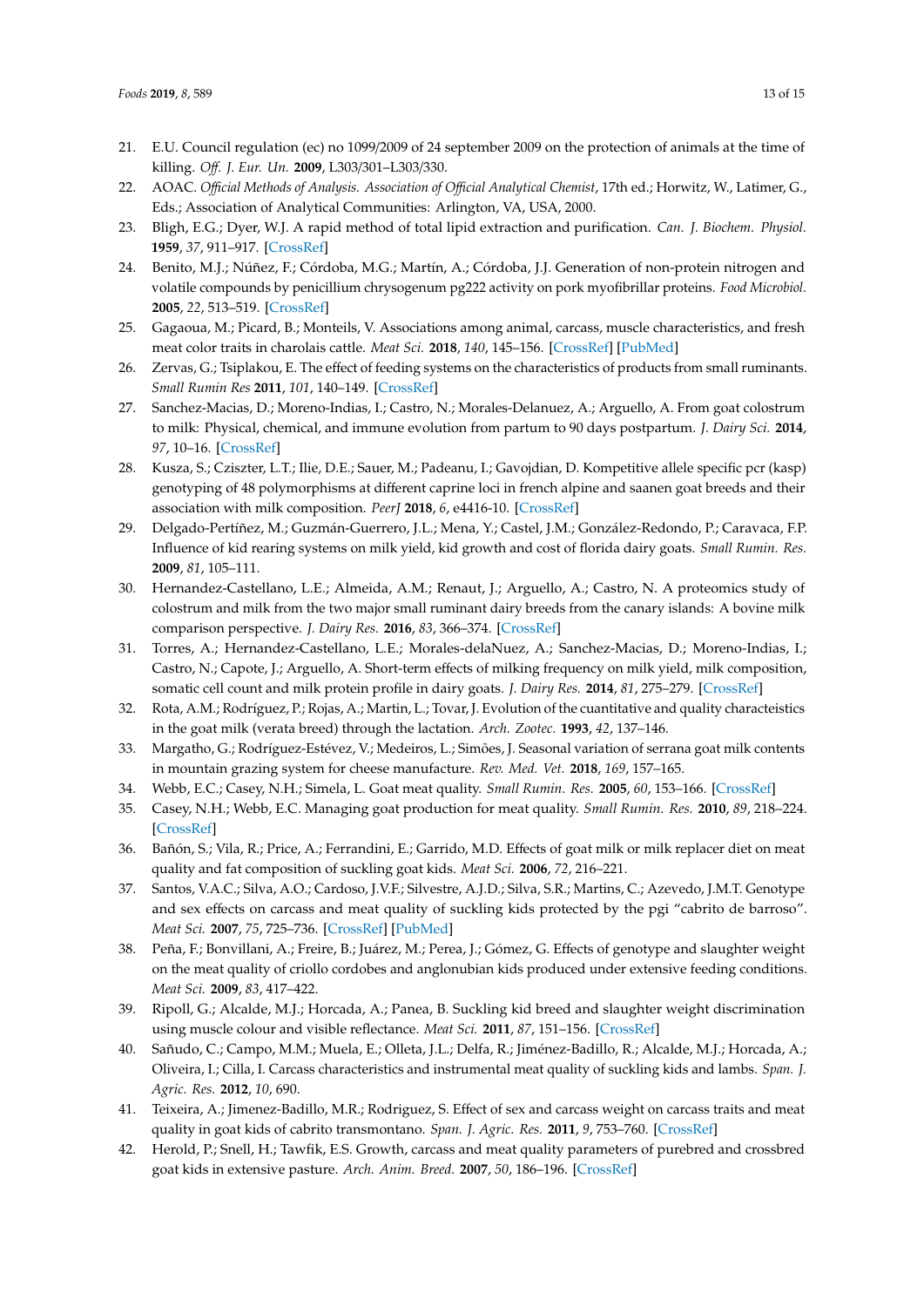- <span id="page-12-0"></span>21. E.U. Council regulation (ec) no 1099/2009 of 24 september 2009 on the protection of animals at the time of killing. *O*ff*. J. Eur. Un.* **2009**, L303/301–L303/330.
- <span id="page-12-1"></span>22. AOAC. *O*ffi*cial Methods of Analysis. Association of O*ffi*cial Analytical Chemist*, 17th ed.; Horwitz, W., Latimer, G., Eds.; Association of Analytical Communities: Arlington, VA, USA, 2000.
- <span id="page-12-2"></span>23. Bligh, E.G.; Dyer, W.J. A rapid method of total lipid extraction and purification. *Can. J. Biochem. Physiol.* **1959**, *37*, 911–917. [\[CrossRef\]](http://dx.doi.org/10.1139/y59-099)
- <span id="page-12-3"></span>24. Benito, M.J.; Núñez, F.; Córdoba, M.G.; Martín, A.; Córdoba, J.J. Generation of non-protein nitrogen and volatile compounds by penicillium chrysogenum pg222 activity on pork myofibrillar proteins. *Food Microbiol.* **2005**, *22*, 513–519. [\[CrossRef\]](http://dx.doi.org/10.1016/j.fm.2004.11.010)
- <span id="page-12-4"></span>25. Gagaoua, M.; Picard, B.; Monteils, V. Associations among animal, carcass, muscle characteristics, and fresh meat color traits in charolais cattle. *Meat Sci.* **2018**, *140*, 145–156. [\[CrossRef\]](http://dx.doi.org/10.1016/j.meatsci.2018.03.004) [\[PubMed\]](http://www.ncbi.nlm.nih.gov/pubmed/29571048)
- <span id="page-12-5"></span>26. Zervas, G.; Tsiplakou, E. The effect of feeding systems on the characteristics of products from small ruminants. *Small Rumin Res* **2011**, *101*, 140–149. [\[CrossRef\]](http://dx.doi.org/10.1016/j.smallrumres.2011.09.034)
- 27. Sanchez-Macias, D.; Moreno-Indias, I.; Castro, N.; Morales-Delanuez, A.; Arguello, A. From goat colostrum to milk: Physical, chemical, and immune evolution from partum to 90 days postpartum. *J. Dairy Sci.* **2014**, *97*, 10–16. [\[CrossRef\]](http://dx.doi.org/10.3168/jds.2013-6811)
- <span id="page-12-7"></span>28. Kusza, S.; Cziszter, L.T.; Ilie, D.E.; Sauer, M.; Padeanu, I.; Gavojdian, D. Kompetitive allele specific pcr (kasp) genotyping of 48 polymorphisms at different caprine loci in french alpine and saanen goat breeds and their association with milk composition. *PeerJ* **2018**, *6*, e4416-10. [\[CrossRef\]](http://dx.doi.org/10.7717/peerj.4416)
- <span id="page-12-9"></span>29. Delgado-Pertíñez, M.; Guzmán-Guerrero, J.L.; Mena, Y.; Castel, J.M.; González-Redondo, P.; Caravaca, F.P. Influence of kid rearing systems on milk yield, kid growth and cost of florida dairy goats. *Small Rumin. Res.* **2009**, *81*, 105–111.
- <span id="page-12-8"></span>30. Hernandez-Castellano, L.E.; Almeida, A.M.; Renaut, J.; Arguello, A.; Castro, N. A proteomics study of colostrum and milk from the two major small ruminant dairy breeds from the canary islands: A bovine milk comparison perspective. *J. Dairy Res.* **2016**, *83*, 366–374. [\[CrossRef\]](http://dx.doi.org/10.1017/S0022029916000273)
- <span id="page-12-10"></span>31. Torres, A.; Hernandez-Castellano, L.E.; Morales-delaNuez, A.; Sanchez-Macias, D.; Moreno-Indias, I.; Castro, N.; Capote, J.; Arguello, A. Short-term effects of milking frequency on milk yield, milk composition, somatic cell count and milk protein profile in dairy goats. *J. Dairy Res.* **2014**, *81*, 275–279. [\[CrossRef\]](http://dx.doi.org/10.1017/S0022029914000211)
- <span id="page-12-6"></span>32. Rota, A.M.; Rodríguez, P.; Rojas, A.; Martin, L.; Tovar, J. Evolution of the cuantitative and quality characteistics in the goat milk (verata breed) through the lactation. *Arch. Zootec.* **1993**, *42*, 137–146.
- <span id="page-12-11"></span>33. Margatho, G.; Rodríguez-Estévez, V.; Medeiros, L.; Simões, J. Seasonal variation of serrana goat milk contents in mountain grazing system for cheese manufacture. *Rev. Med. Vet.* **2018**, *169*, 157–165.
- <span id="page-12-12"></span>34. Webb, E.C.; Casey, N.H.; Simela, L. Goat meat quality. *Small Rumin. Res.* **2005**, *60*, 153–166. [\[CrossRef\]](http://dx.doi.org/10.1016/j.smallrumres.2005.06.009)
- <span id="page-12-13"></span>35. Casey, N.H.; Webb, E.C. Managing goat production for meat quality. *Small Rumin. Res.* **2010**, *89*, 218–224. [\[CrossRef\]](http://dx.doi.org/10.1016/j.smallrumres.2009.12.047)
- <span id="page-12-14"></span>36. Bañón, S.; Vila, R.; Price, A.; Ferrandini, E.; Garrido, M.D. Effects of goat milk or milk replacer diet on meat quality and fat composition of suckling goat kids. *Meat Sci.* **2006**, *72*, 216–221.
- 37. Santos, V.A.C.; Silva, A.O.; Cardoso, J.V.F.; Silvestre, A.J.D.; Silva, S.R.; Martins, C.; Azevedo, J.M.T. Genotype and sex effects on carcass and meat quality of suckling kids protected by the pgi "cabrito de barroso". *Meat Sci.* **2007**, *75*, 725–736. [\[CrossRef\]](http://dx.doi.org/10.1016/j.meatsci.2006.10.003) [\[PubMed\]](http://www.ncbi.nlm.nih.gov/pubmed/22064038)
- 38. Peña, F.; Bonvillani, A.; Freire, B.; Juárez, M.; Perea, J.; Gómez, G. Effects of genotype and slaughter weight on the meat quality of criollo cordobes and anglonubian kids produced under extensive feeding conditions. *Meat Sci.* **2009**, *83*, 417–422.
- <span id="page-12-17"></span>39. Ripoll, G.; Alcalde, M.J.; Horcada, A.; Panea, B. Suckling kid breed and slaughter weight discrimination using muscle colour and visible reflectance. *Meat Sci.* **2011**, *87*, 151–156. [\[CrossRef\]](http://dx.doi.org/10.1016/j.meatsci.2010.10.006)
- <span id="page-12-18"></span>40. Sañudo, C.; Campo, M.M.; Muela, E.; Olleta, J.L.; Delfa, R.; Jiménez-Badillo, R.; Alcalde, M.J.; Horcada, A.; Oliveira, I.; Cilla, I. Carcass characteristics and instrumental meat quality of suckling kids and lambs. *Span. J. Agric. Res.* **2012**, *10*, 690.
- <span id="page-12-15"></span>41. Teixeira, A.; Jimenez-Badillo, M.R.; Rodriguez, S. Effect of sex and carcass weight on carcass traits and meat quality in goat kids of cabrito transmontano. *Span. J. Agric. Res.* **2011**, *9*, 753–760. [\[CrossRef\]](http://dx.doi.org/10.5424/sjar/20110903-248-10)
- <span id="page-12-16"></span>42. Herold, P.; Snell, H.; Tawfik, E.S. Growth, carcass and meat quality parameters of purebred and crossbred goat kids in extensive pasture. *Arch. Anim. Breed.* **2007**, *50*, 186–196. [\[CrossRef\]](http://dx.doi.org/10.5194/aab-50-186-2007)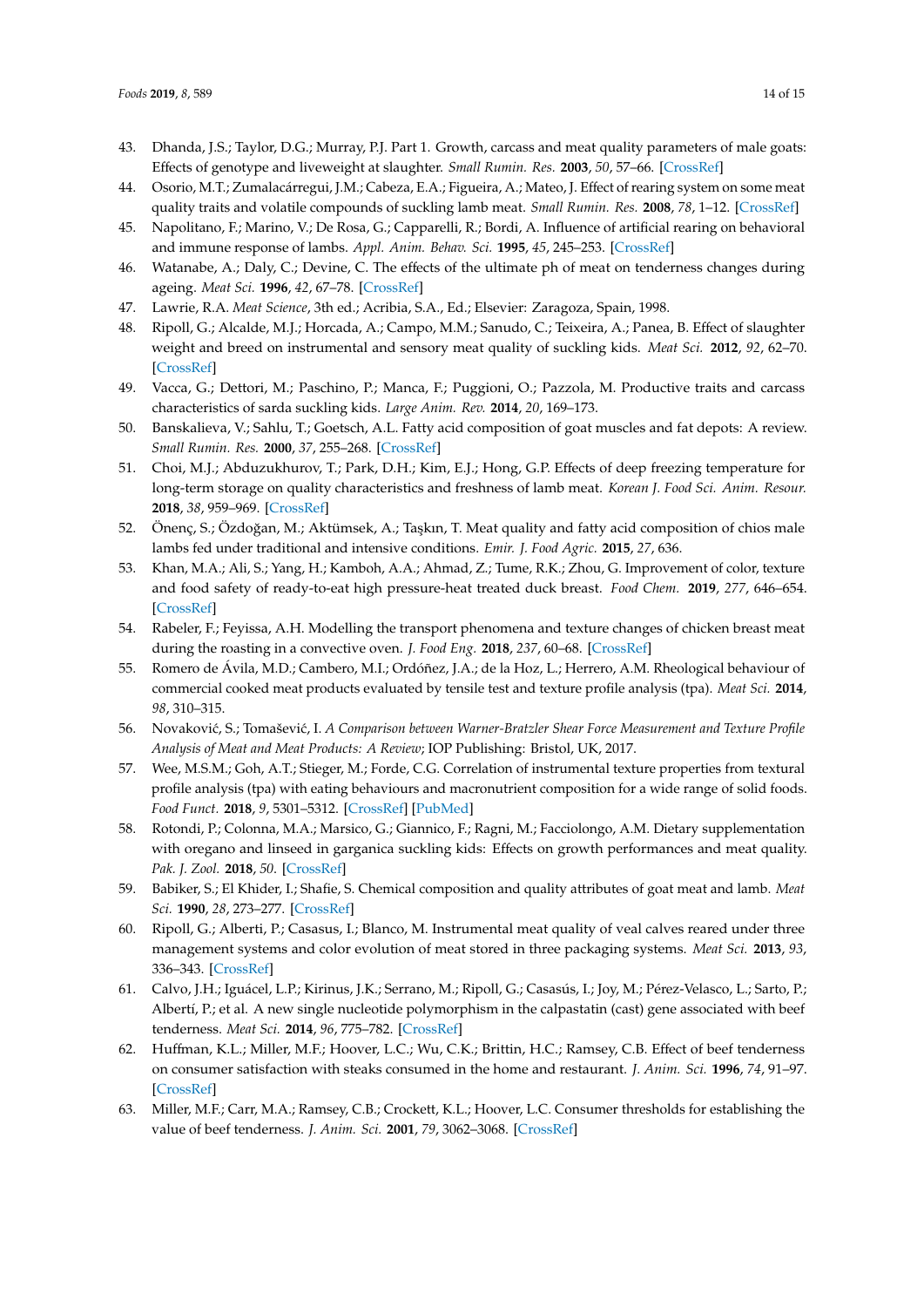- <span id="page-13-0"></span>43. Dhanda, J.S.; Taylor, D.G.; Murray, P.J. Part 1. Growth, carcass and meat quality parameters of male goats: Effects of genotype and liveweight at slaughter. *Small Rumin. Res.* **2003**, *50*, 57–66. [\[CrossRef\]](http://dx.doi.org/10.1016/S0921-4488(03)00112-3)
- <span id="page-13-1"></span>44. Osorio, M.T.; Zumalacárregui, J.M.; Cabeza, E.A.; Figueira, A.; Mateo, J. Effect of rearing system on some meat quality traits and volatile compounds of suckling lamb meat. *Small Rumin. Res.* **2008**, *78*, 1–12. [\[CrossRef\]](http://dx.doi.org/10.1016/j.smallrumres.2008.03.015)
- <span id="page-13-2"></span>45. Napolitano, F.; Marino, V.; De Rosa, G.; Capparelli, R.; Bordi, A. Influence of artificial rearing on behavioral and immune response of lambs. *Appl. Anim. Behav. Sci.* **1995**, *45*, 245–253. [\[CrossRef\]](http://dx.doi.org/10.1016/0168-1591(95)00637-8)
- <span id="page-13-3"></span>46. Watanabe, A.; Daly, C.; Devine, C. The effects of the ultimate ph of meat on tenderness changes during ageing. *Meat Sci.* **1996**, *42*, 67–78. [\[CrossRef\]](http://dx.doi.org/10.1016/0309-1740(95)00012-7)
- <span id="page-13-4"></span>47. Lawrie, R.A. *Meat Science*, 3th ed.; Acribia, S.A., Ed.; Elsevier: Zaragoza, Spain, 1998.
- <span id="page-13-5"></span>48. Ripoll, G.; Alcalde, M.J.; Horcada, A.; Campo, M.M.; Sanudo, C.; Teixeira, A.; Panea, B. Effect of slaughter weight and breed on instrumental and sensory meat quality of suckling kids. *Meat Sci.* **2012**, *92*, 62–70. [\[CrossRef\]](http://dx.doi.org/10.1016/j.meatsci.2012.04.011)
- <span id="page-13-6"></span>49. Vacca, G.; Dettori, M.; Paschino, P.; Manca, F.; Puggioni, O.; Pazzola, M. Productive traits and carcass characteristics of sarda suckling kids. *Large Anim. Rev.* **2014**, *20*, 169–173.
- <span id="page-13-7"></span>50. Banskalieva, V.; Sahlu, T.; Goetsch, A.L. Fatty acid composition of goat muscles and fat depots: A review. *Small Rumin. Res.* **2000**, *37*, 255–268. [\[CrossRef\]](http://dx.doi.org/10.1016/S0921-4488(00)00128-0)
- <span id="page-13-8"></span>51. Choi, M.J.; Abduzukhurov, T.; Park, D.H.; Kim, E.J.; Hong, G.P. Effects of deep freezing temperature for long-term storage on quality characteristics and freshness of lamb meat. *Korean J. Food Sci. Anim. Resour.* **2018**, *38*, 959–969. [\[CrossRef\]](http://dx.doi.org/10.5851/kosfa.2018.e28)
- <span id="page-13-9"></span>52. Önenç, S.; Özdoğan, M.; Aktümsek, A.; Taşkın, T. Meat quality and fatty acid composition of chios male lambs fed under traditional and intensive conditions. *Emir. J. Food Agric.* **2015**, *27*, 636.
- <span id="page-13-10"></span>53. Khan, M.A.; Ali, S.; Yang, H.; Kamboh, A.A.; Ahmad, Z.; Tume, R.K.; Zhou, G. Improvement of color, texture and food safety of ready-to-eat high pressure-heat treated duck breast. *Food Chem.* **2019**, *277*, 646–654. [\[CrossRef\]](http://dx.doi.org/10.1016/j.foodchem.2018.11.006)
- <span id="page-13-11"></span>54. Rabeler, F.; Feyissa, A.H. Modelling the transport phenomena and texture changes of chicken breast meat during the roasting in a convective oven. *J. Food Eng.* **2018**, *237*, 60–68. [\[CrossRef\]](http://dx.doi.org/10.1016/j.jfoodeng.2018.05.021)
- <span id="page-13-12"></span>55. Romero de Ávila, M.D.; Cambero, M.I.; Ordóñez, J.A.; de la Hoz, L.; Herrero, A.M. Rheological behaviour of commercial cooked meat products evaluated by tensile test and texture profile analysis (tpa). *Meat Sci.* **2014**, *98*, 310–315.
- <span id="page-13-13"></span>56. Novaković, S.; Tomašević, I. *A Comparison between Warner-Bratzler Shear Force Measurement and Texture Profile Analysis of Meat and Meat Products: A Review*; IOP Publishing: Bristol, UK, 2017.
- <span id="page-13-14"></span>57. Wee, M.S.M.; Goh, A.T.; Stieger, M.; Forde, C.G. Correlation of instrumental texture properties from textural profile analysis (tpa) with eating behaviours and macronutrient composition for a wide range of solid foods. *Food Funct.* **2018**, *9*, 5301–5312. [\[CrossRef\]](http://dx.doi.org/10.1039/C8FO00791H) [\[PubMed\]](http://www.ncbi.nlm.nih.gov/pubmed/30256358)
- <span id="page-13-15"></span>58. Rotondi, P.; Colonna, M.A.; Marsico, G.; Giannico, F.; Ragni, M.; Facciolongo, A.M. Dietary supplementation with oregano and linseed in garganica suckling kids: Effects on growth performances and meat quality. *Pak. J. Zool.* **2018**, *50*. [\[CrossRef\]](http://dx.doi.org/10.17582/journal.pjz/2018.50.4.1421.1433)
- <span id="page-13-16"></span>59. Babiker, S.; El Khider, I.; Shafie, S. Chemical composition and quality attributes of goat meat and lamb. *Meat Sci.* **1990**, *28*, 273–277. [\[CrossRef\]](http://dx.doi.org/10.1016/0309-1740(90)90041-4)
- 60. Ripoll, G.; Alberti, P.; Casasus, I.; Blanco, M. Instrumental meat quality of veal calves reared under three management systems and color evolution of meat stored in three packaging systems. *Meat Sci.* **2013**, *93*, 336–343. [\[CrossRef\]](http://dx.doi.org/10.1016/j.meatsci.2012.09.012)
- <span id="page-13-17"></span>61. Calvo, J.H.; Iguácel, L.P.; Kirinus, J.K.; Serrano, M.; Ripoll, G.; Casasús, I.; Joy, M.; Pérez-Velasco, L.; Sarto, P.; Albertí, P.; et al. A new single nucleotide polymorphism in the calpastatin (cast) gene associated with beef tenderness. *Meat Sci.* **2014**, *96*, 775–782. [\[CrossRef\]](http://dx.doi.org/10.1016/j.meatsci.2013.10.003)
- <span id="page-13-18"></span>62. Huffman, K.L.; Miller, M.F.; Hoover, L.C.; Wu, C.K.; Brittin, H.C.; Ramsey, C.B. Effect of beef tenderness on consumer satisfaction with steaks consumed in the home and restaurant. *J. Anim. Sci.* **1996**, *74*, 91–97. [\[CrossRef\]](http://dx.doi.org/10.2527/1996.74191x)
- <span id="page-13-19"></span>63. Miller, M.F.; Carr, M.A.; Ramsey, C.B.; Crockett, K.L.; Hoover, L.C. Consumer thresholds for establishing the value of beef tenderness. *J. Anim. Sci.* **2001**, *79*, 3062–3068. [\[CrossRef\]](http://dx.doi.org/10.2527/2001.79123062x)